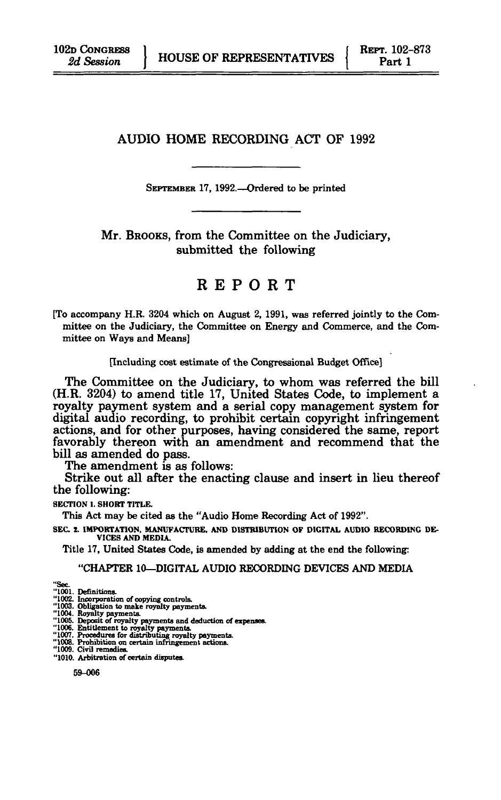# AUDIO HOME RECORDING ACT OF 1992

SEPTEMBER 17, 1992.—Ordered to be printed

Mr. BROOKS, from the Committee on the Judiciary, submitted the following

REPOR T

[To accompany H.R. 3204 which on August 2, 1991, was referred jointly to the Committee on the Judiciary, the Committee on Energy and Commerce, and the Committee on Ways and Means]

#### [Including cost estimate of the Congressional Budget Office]

The Committee on the Judiciary, to whom was referred the bill (H.R. 3204) to amend title 17, United States Code, to implement a royalty payment system and a serial copy management system for digital audio recording, to prohibit certain copyright infringement actions, and for other purposes, having considered the same, report favorably thereon with an amendment and recommend that the bill as amended do pass.

The amendment is as follows:

Strike out all after the enacting clause and insert in lieu thereof the following:

**SECTION 1. SHORT TITLE.** 

This Act may be cited as the "Audio Home Recording Act of 1992".

**SEC 2. IMPORTATION. MANUFACTURE. AND DISTRIBUTION OF DIGITAL AUDIO RECORDING DE-VICES AND MEDIA.** 

Title 17, United States Code, is amended by adding at the end the following:

#### "CHAPTER 10—DIGITAL AUDIO RECORDING DEVICES AND MEDIA

- '1001. Definitions.
- 
- 
- "1002. Determinants of copying controls.<br>"1002. Incorporation of copying controls.<br>"1003. Obligation to make royalty payments.<br>"1005. Reposit of royalty payments and deduction of expenses.<br>"1006. Entitlement to royalty pay
- 
- 
- 
- **"1010. Arbitration of certain disputes.**

**59-006**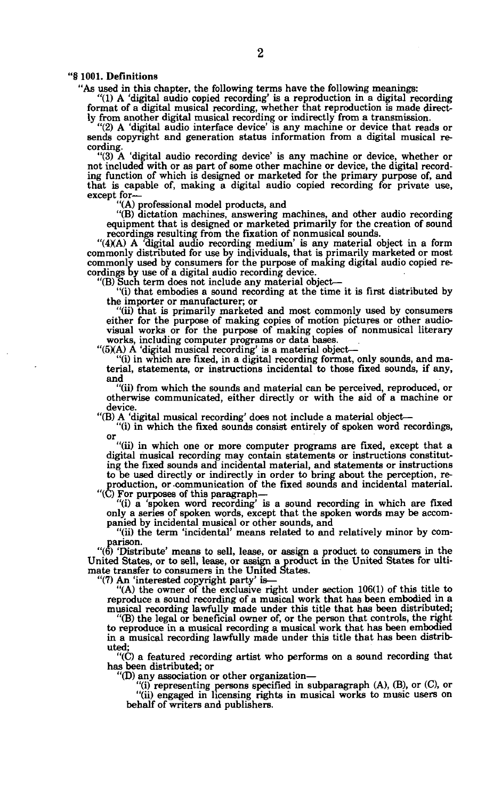#### "§ 1001. Definitions

"As used in this chapter, the following terms have the following meanings:

"(1) A 'digital audio copied recording' is a reproduction in a digital recording format of a digital musical recording, whether that reproduction is made directly from another digital musical recording or indirectly from a transmission.

"(2) A 'digital audio interface device' is any machine or device that reads or sends copyright and generation status information from a digital musical recording.

"(3) A 'digital audio recording device' is any machine or device, whether or not included with or as part of some other machine or device, the digital recording function of which is designed or marketed for the primary purpose of, and that is capable of, making a digital audio copied recording for private use, except for—

"(A) professional model products, and

"(B) dictation machines, answering machines, and other audio recording equipment that is designed or marketed primarily for the creation of sound recordings resulting from the fixation of nonmusical sounds.

"(4XA) A 'digital audio recording medium' is any material object in a form commonly distributed for use by individuals, that is primarily marketed or most commonly used by consumers for the purpose of making digital audio copied recordings by use of a digital audio recording device.

"(B) Such term does not include any material object—

"(i) that embodies a sound recording at the time it is first distributed by the importer or manufacturer; or

"(ii) that is primarily marketed and most commonly used by consumers either for the purpose of making copies of motion pictures or other audio-visual works or for the purpose of making copies of nonmusical literary works, including computer programs or data bases.

"(5XA) A 'digital musical recording' is a material object—

"(i) in which are fixed, in a digital recording format, only sounds, and material, statements, or instructions incidental to those fixed sounds, if any, and

"(ii) from which the sounds and material can be perceived, reproduced, or otherwise communicated, either directly or with the aid of a machine or device.

"(B) A 'digital musical recording' does not include a material object—

"(i) in which the fixed sounds consist entirely of spoken word recordings, or

"(ii) in which one or more computer programs are fixed, except that a digital musical recording may contain statements or instructions constituting the fixed sounds and incidental material, and statements or instructions to be used directly or indirectly in order to bring about the perception, re-production, or -communication of the fixed sounds and incidental material.

"(C) For purposes of this paragraph—

"(i) a 'spoken word recording' is a sound recording in which are fixed only a series of spoken words, except that the spoken words may be accompanied by incidental musical or other sounds, and

"(ii) the term 'incidental' means related to and relatively minor by comparison.

"(6) 'Distribute' means to sell, lease, or assign a product to consumers in the United States, or to sell, lease, or assign a product in the United States for ulti-mate transfer to consumers in the United States.

"(7) An 'interested copyright party' is— "(A) the owner of the exclusive right under section 106(1) of this title to reproduce a sound recording of a musical work that has been embodied in a musical recording lawfully made under this title that has been distributed;

"(B) the legal or beneficial owner of, or the person that controls, the right to reproduce in a musical recording a musical work that has been embodied in a musical recording lawfully made under this title that has been distributed; "(C) a featured recording artist who performs on a sound recording that

has been distributed; or

"(D) any association or other organization—

"(i) representing persons specified in subparagraph (A), (B), or (C), or

"(ii) engaged in licensing rights in musical works to music users on behalf of writers and publishers.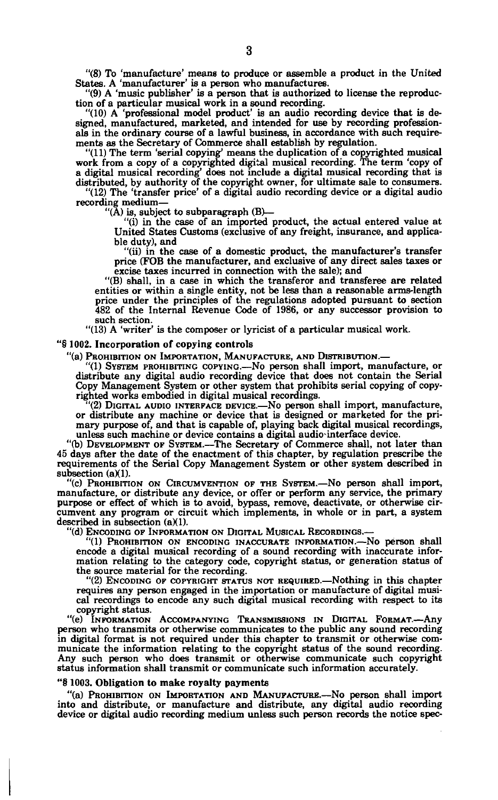**"(8) To 'manufacture' means to produce or assemble a product in the United States. A 'manufacturer' is a person who manufactures.** 

**"(9) A 'music publisher' is a person that is authorized to license the reproduction of a particular musical work in a sound recording.** 

**"(10) A 'professional model product' is an audio recording device that is designed, manufactured, marketed, and intended for use by recording professionals in the ordinary course of a lawful business, in accordance with such requirements as the Secretary of Commerce shall establish by regulation.** 

**"(11) The term 'serial copying\* means the duplication of a copyrighted musical work from a copy of a copyrighted digital musical recording. The term 'copy of a digital musical recording' does not include a digital musical recording that is distributed, by authority of the copyright owner, for ultimate sale to consumers.** 

**"(12) The 'transfer price' of a digital audio recording device or a digital audio recording medium—** 

**"(A) is, subject to subparagraph (B)— "(i) in the case of an imported product, the actual entered value at United States Customs (exclusive of any freight, insurance, and applicable duty), and** 

**"(ii) in the case of a domestic product, the manufacturer's transfer price (FOB the manufacturer, and exclusive of any direct sales taxes or excise taxes incurred in connection with the sale); and** 

**"(B) shall, in a case in which the transferor and transferee are related entities or within a single entity, not be less than a reasonable arms-length price under the principles of the regulations adopted pursuant to section 482 of the Internal Revenue Code of 1986, or any successor provision to such section.** 

**"(13) A 'writer' is the composer or lyricist of a particular musical work.** 

#### **"§ 1002. Incorporation of copying controls**

**"(a) PROHIBITION ON IMPORTATION, MANUFACTURE, AND DISTRIBUTION.—** 

**"(1) SYSTEM PROHIBITING COPYING.—No person shall import, manufacture, or distribute any digital audio recording device that does not contain the Serial Copy Management System or other system that prohibits serial copying of copyrighted works embodied in digital musical recordings.** 

**"(2) DIGITAL AUDIO INTERFACE DEVICE.—No person shall import, manufacture, or distribute any machine or device that is designed or marketed for the primary purpose of, and that is capable of, playing back digital musical recordings, unless such machine or device contains a digital audio-interface device.** 

**"(b) DEVELOPMENT OF SYSTEM.—The Secretary of Commerce shall, not later than 45 days after the date of the enactment of this chapter, by regulation prescribe the requirements of the Serial Copy Management System or other system described in**  subsection (a)(1).

**"(c) PROHIBITION ON CIRCUMVENTION OF THE SYSTEM.—No person shall import, manufacture, or distribute any device, or offer or perform any service, the primary purpose or effect of which is to avoid, bypass, remove, deactivate, or otherwise circumvent any program or circuit which implements, in whole or in part, a system**  described in subsection (a)(1).

**"(d) ENCODING OF INFORMATION ON DIGITAL MUSICAL RECORDINGS.—** 

**"(1) PROHIBITION ON ENCODING INACCURATE INFORMATION.—No person shall encode a digital musical recording of a sound recording with inaccurate information relating to the category code, copyright status, or generation status of the source material for the recording.** 

**"(2) ENCODING OF COPYRIGHT STATUS NOT REQUIRED.—Nothing in this chapter requires any person engaged in the importation or manufacture of digital musical recordings to encode any such digital musical recording with respect to its copyright status.** 

**"(e) INFORMATION ACCOMPANYING TRANSMISSIONS IN DIGITAL FORMAT.—Any person who transmits or otherwise communicates to the public any sound recording in digital format is not required under this chapter to transmit or otherwise communicate the information relating to the copyright status of the sound recording. Any such person who does transmit or otherwise communicate such copyright status information shall transmit or communicate such information accurately.** 

#### **"§ 1003. Obligation to make royalty payments**

**"(a) PROHIBITION ON IMPORTATION AND MANUFACTURE.—No person shall import into and distribute, or manufacture and distribute, any digital audio recording device or digital audio recording medium unless such person records the notice spec-**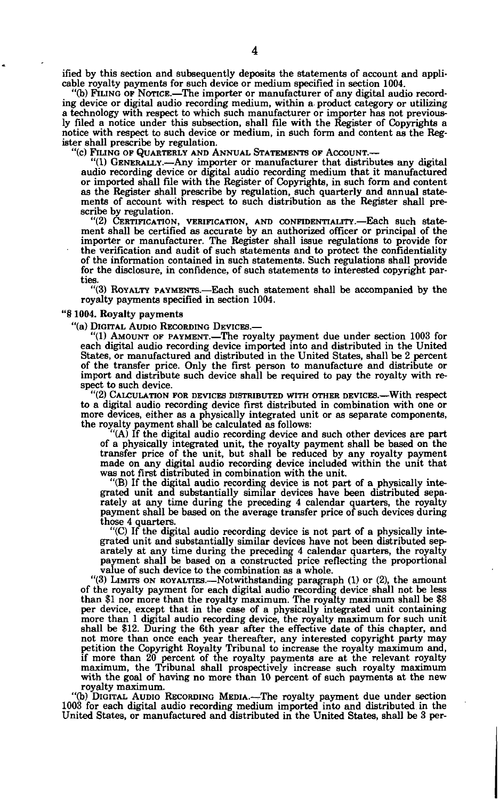**ified by this section and subsequently deposits the statements of account and applicable royalty payments for such device or medium specified in section 1004.** 

**"(b) FILING OF NOTICE.—The importer or manufacturer of any digital audio recording device or digital audio recording medium, within a- product category or utilizing a technology with respect to which such manufacturer or importer has not previously filed a notice under this subsection, shall file with the Register of Copyrights a notice with respect to such device or medium, in such form and content as the Register shall prescribe by regulation.** 

**"(c) FILING OF QUARTERLY AND ANNUAL STATEMENTS OF ACCOUNT.—** 

**"(1) GENERALLY.—Any importer or manufacturer that distributes any digital audio recording device or digital audio recording medium that it manufactured or imported shall file with the Register of Copyrights, in such form and content as the Register shall prescribe by regulation, such quarterly and annual statements of account with respect to such distribution as the Register shall prescribe by regulation.** 

**"(2) CERTIFICATION, VERIFICATION, AND CONFIDENTIALITY.—Each such statement shall be certified as accurate by an authorized officer or principal of the importer or manufacturer. The Register shall issue regulations to provide for the verification and audit of such statements and to protect the confidentiality of the information contained in such statements. Such regulations shall provide for the disclosure, in confidence, of such statements to interested copyright parties.** 

**"(3) ROYALTY PAYMENTS.—Each such statement shall be accompanied by the royalty payments specified in section 1004.** 

#### **"§ 1004. Royalty payments**

**"(a) DIGITAL AUDIO RECORDING DEVICES.—** 

**"(1) AMOUNT OF PAYMENT.—The royalty payment due under section 1003 for each digital audio recording device imported into and distributed in the United States, or manufactured and distributed in the United States, shall be 2 percent of the transfer price. Only the first person to manufacture and distribute or import and distribute such device shall be required to pay the royalty with respect to such device.** 

**"(2) CALCULATION FOR DEVICES DISTRIBUTED WITH OTHER DEVICES.—With respect to a digital audio recording device first distributed in combination with one or more devices, either as a physically integrated unit or as separate components, the royalty payment shall be calculated as follows:** 

**"(A) If the digital audio recording device and such other devices are part**  of a physically integrated unit, the royalty payment shall be based on the transfer price of the unit, but shall be reduced by any royalty payment made on any digital audio recording device included within the unit that **was not first distributed in combination with the unit.** 

**"(B) If the digital audio recording device is not part of a physically integrated unit and substantially similar devices have been distributed separately at any time during the preceding 4 calendar quarters, the royalty payment shall be based on the average transfer price of such devices during those 4 quarters.** 

**"(C) If the digital audio recording device is not part of a physically integrated unit and substantially similar devices have not been distributed separately at any time during the preceding 4 calendar quarters, the royalty payment shall be based on a constructed price reflecting the proportional value of such device to the combination as a whole.** 

**"(3) LIMITS ON ROYALTIES.—Notwithstanding paragraph (1) or (2), the amount of the royalty payment for each digital audio recording device shall not be less than \$1 nor more than the royalty maximum. The royalty maximum shall be \$8 per device, except that in the case of a physically integrated unit containing more than 1 digital audio recording device, the royalty maximum for such unit shall be \$12. During the 6th year after the effective date of this chapter, and not more than once each year thereafter, any interested copyright party may petition the Copyright Royalty Tribunal to increase the royalty maximum and, if more than 20 percent of the royalty payments are at the relevant royalty maximum, the Tribunal shall prospectively increase such royalty maximum with the goal of having no more than 10 percent of such payments at the new royalty maximum.** 

**"(b) DIGITAL AUDIO RECORDING MEDIA.—-The royalty payment due under section 1003 for each digital audio recording medium imported into and distributed in the United States, or manufactured and distributed in the United States, shall be 3 per-**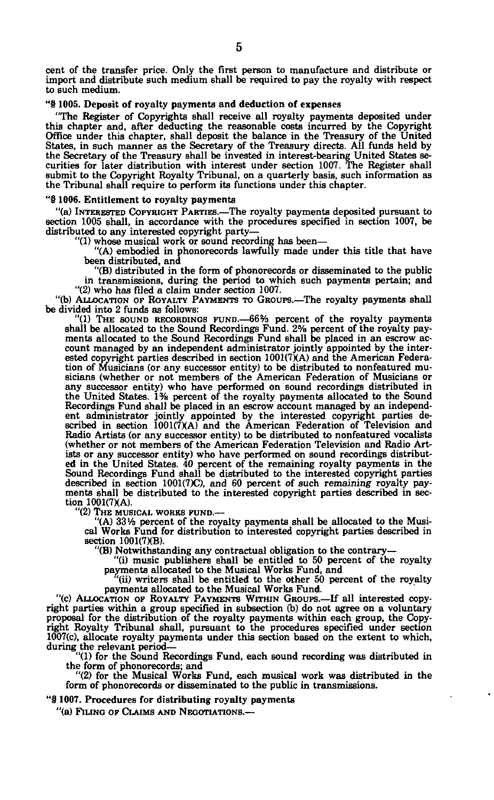**cent of the transfer price. Only the first person to manufacture and distribute or import and distribute such medium shall be required to pay the royalty with respect to such medium.** 

#### **"§ 1005. Deposit of royalty payments and deduction of expenses**

**"The Register of Copyrights shall receive all royalty payments deposited under this chapter and, after deducting the reasonable costs incurred by the Copyright Office under this chapter, shall deposit the balance in the Treasury of the United States, in such manner as the Secretary of the Treasury directs. All funds held by the Secretary of the Treasury shall be invested in interest-bearing United States se-curities for later distribution with interest under section 1007. The Register shall submit to the Copyright Royalty Tribunal, on a quarterly basis, such information as the Tribunal shall require to perform its functions under this chapter.** 

#### **"§ 1006. Entitlement to royalty payments**

**"(a) INTERESTED COPYRIGHT PARTIES.—The royalty payments deposited pursuant to section 1005 shall, in accordance with the procedures specified in section 1007, be distributed to any interested copyright party—** 

**"(1) whose musical work or sound recording has been— "(A) embodied in phonorecords lawfully made under this title that have** 

**been distributed, and "(B) distributed in the form of phonorecords or disseminated to the public in transmissions, during the period to which such payments pertain; and "(2) who has filed a claim under section 1007.** 

**"(b) ALLOCATION OF ROYALTY PAYMENTS TO GROUPS.—The royalty payments shall be divided into 2 funds as follows:** 

**"(1) THE SOUND RECORDINGS FUND.—66% percent of the royalty payments**  shall be allocated to the Sound Recordings Fund. 2<sup>5</sup>% percent of the royalty pay-<br>ments allocated to the Sound Recordings Fund shall be placed in an escrow ac**count managed by an independent administrator jointly appointed by the inter-ested copyright parties described in section 1001(7XA) and the American Federation of Musicians (or any successor entity) to be distributed to nonfeatured musicians (whether or not members of the American Federation of Musicians or any successor entity) who have performed on sound recordings distributed in the United States. 1% percent of the royalty payments allocated to the Sound**  Recordings Fund shall be placed in an escrow account managed by an independent administrator jointly appointed by the interested copyright parties described in section  $1001(7)(A)$  and the American Federation of Television **Radio Artists (or any successor entity) to be distributed to nonfeatured vocalists (whether or not members of the American Federation Television and Radio Art**ists or any successor entity) who have performed on sound recordings distributed in the United States. 40 percent of the remaining royalty payments in the Sound Recordings Fund shall be distributed to the interested copyri **described in section 1001(7)C), and 60 percent of such remaining royalty pay-ments shall be distributed to the interested copyright parties described in sec**tion 1001(7)(A).

**"(2) THE MUSICAL WORKS FUND.—** 

**"(A) 33% percent of the royalty payments shall be allocated to the Musical Works Fund for distribution to interested copyright parties described in section 1001(7XB).** 

**"(B) Notwithstanding any contractual obligation to the contrary— "(i) music publishers shall be entitled to 50 percent of the royalty** 

**payments allocated to the Musical Works Fund, and (ii) writers shall be entitled to the other 50 percent of the royalty payments allocated to the Musical Works Fund.** 

**"(c) ALLOCATION OF ROYALTY PAYMENTS WITHIN GROUPS.—If all interested copy**right parties within a group specified in subsection (b) do not agree on a voluntary proposal for the distribution of the royalty payments within each group, the Copy-<br>right Royalty Tribunal shall, pursuant to the procedur **1007(c), allocate royalty payments under this section based on the extent to which,** 

**during the relevant period— "(1) for the Sound Recordings Fund, each sound recording was distributed in the form of phonorecords; and "(2) for the Musical Works Fund, each musical work was distributed in the** 

**form of phonorecords or disseminated to the public in transmissions.** 

**"§ 1007. Procedures for distributing royalty payments** 

**"(a) FILING OF CLAIMS AND NEGOTIATIONS.—**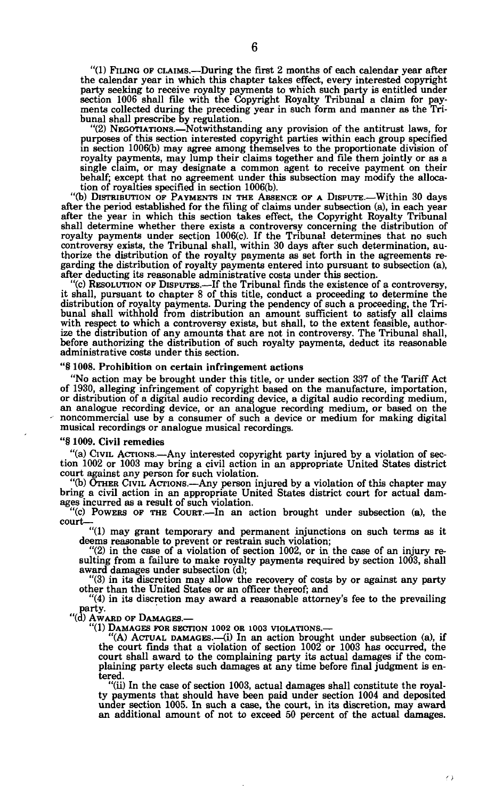"(1) FILING OF CLAIMS.—During the first 2 months of each calendar year after the calendar year in which this chapter takes effect, every interested copyright party seeking to receive royalty payments to which such party is entitled under section 1006 shall file with the Copyright Royalty Tribunal a claim for payments collected during the preceding year in such form and manner as the Tribunal shall prescribe by regulation.

"(2) NEGOTIATIONS.—Notwithstanding any provision of the antitrust laws, for purposes of this section interested copyright parties within each group specified in section 1006(b) may agree among themselves to the proportionate division of royalty payments, may lump their claims together and file them jointly or as a single claim, or may designate a common agent to receive payment on their behalf; except that no agreement under this subsection may modify the allocation of royalties specified in section 1006(b).

"(b) DISTRIBUTION OP PAYMENTS IN THE ABSENCE OF A DISPUTE.—Within 30 days after the period established for the filing of claims under subsection (a), in each year after the year in which this section takes effect, the Copyright Royalty Tribunal shall determine whether there exists a controversy concerning the distribution of royalty payments under section 1006(c). If the Tribunal determines that no such controversy exists, the Tribunal shall, within 30 days after such determination, au-thorize the distribution of the royalty payments as set forth in the agreements regarding the distribution of royalty payments entered into pursuant to subsection (a), after deducting its reasonable administrative costs under this section.

"(c) RESOLUTION OF DISPUTES.—If the Tribunal finds the existence of a controversy, it shall, pursuant to chapter 8 of this title, conduct a proceeding to determine the distribution of royalty payments. During the pendency of such a proceeding, the Tri-bunal shall withhold from distribution an amount sufficient to satisfy all claims with respect to which a controversy exists, but shall, to the extent feasible, authorize the distribution of any amounts that are not in controversy. The Tribunal shall, before authorizing the distribution of such royalty payments, deduct its reasonable administrative costs under this section.

#### "§ 1008. Prohibition on certain infringement actions

"No action may be brought under this title, or under section 337 of the Tariff Act of 1930, alleging infringement of copyright based on the manufacture, importation, or distribution of a digital audio recording device, a digital audio recording medium, an analogue recording device, or an analogue recording medium, or based on the noncommercial use by a consumer of such a device or medium for making digital musical recordings or analogue musical recordings.

#### "§ 1009. Civil remedies

"(a) CIVIL ACTIONS.—Any interested copyright party injured by a violation of sec-tion 1002 or 1003 may bring a civil action in an appropriate United States district court against any person for such violation.

"(b) OTHER CIVIL ACTIONS.—Any person injured by a violation of this chapter may bring a civil action in an appropriate United States district court for actual damages incurred as a result of such violation.

"(c) POWERS OF THE COURT.—In an action brought under subsection (a), the court—

"(1) may grant temporary and permanent injunctions on such terms as it deems reasonable to prevent or restrain such violation;

"(2) in the case of a violation of section 1002, or in the case of an injury resulting from a failure to make royalty payments required by section 1003, shall award damages under subsection (d);

"(3) in its discretion may allow the recovery of costs by or against any party other than the United States or an officer thereof; and

"(4) in its discretion may award a reasonable attorney's fee to the prevailing party.

"(d) AWARD OF DAMAGES.

**"(1) DAMAGES FOR SECTION 1002 OR 1003 VIOLATIONS.—** 

 $(A)$  ACTUAL DAMAGES.—(i) In an action brought under subsection (a), if the court finds that a violation of section 1002 or 1003 has occurred, the court shall award to the complaining party its actual damages if the com-plaining party elects such damages at any time before final judgment is entered.

"(ii) In the case of section 1003, actual damages shall constitute the royalty payments that should have been paid under section 1004 and deposited under section 1005. In such a case, the court, in its discretion, may award an additional amount of not to exceed 50 percent of the actual damages.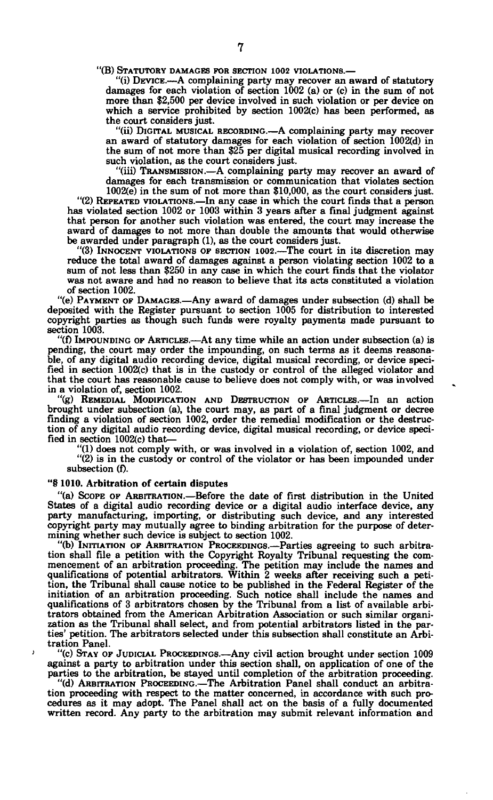**"(B) STATUTORY DAMAGES FOR SECTION 1002 VIOLATIONS.—** 

**"(i) DEVICE.—A complaining party may recover an award of statutory damages for each violation of section 1002 (a) or (c) in the sum of not more than \$2,500 per device involved in such violation or per device on which a service prohibited by section 1002(c) has been performed, as the court considers just.** 

**"(ii) DIGITAL MUSICAL RECORDING.—A complaining party may recover an award of statutory damages for each violation of section 1002(d) in the sum of not more than \$25 per digital musical recording involved in such violation, as the court considers just.** 

**"(iii) TRANSMISSION.—A complaining party may recover an award of damages for each transmission or communication that violates section 1002(e) in the sum of not more than \$10,000, as the court considers just.** 

**"(2) REPEATED VIOLATIONS.—In any case in which the court finds that a person has violated section 1002 or 1003 within 3 years after a final judgment against that person for another such violation was entered, the court may increase the award of damages to not more than double the amounts that would otherwise be awarded under paragraph (1), as the court considers just.** 

**"(3) INNOCENT VIOLATIONS OF SECTION 1002.—The court in its discretion may reduce the total award of damages against a person violating section 1002 to a sum of not less than \$250 in any case in which the court finds that the violator was not aware and had no reason to believe that its acts constituted a violation of section 1002.** 

**"(e) PAYMENT OF DAMAGES.—Any award of damages under subsection (d) shall be deposited with the Register pursuant to section 1005 for distribution to interested copyright parties as though such funds were royalty payments made pursuant to section 1003.** 

**"(f) IMPOUNDING OF ARTICLES.—At any time while an action under subsection (a) is pending, the court may order the impounding, on such terms as it deems reasonable, of any digital audio recording device, digital musical recording, or device specified in section 1002(c) that is in the custody or control of the alleged violator and that the court has reasonable cause to believe does not comply with, or was involved in a violation of, section 1002.** 

**"(g) REMEDIAL MODIFICATION AND DESTRUCTION OF ARTICLES.—In an action brought under subsection (a), the court may, as part of a final judgment or decree finding a violation of section 1002, order the remedial modification or the destruction of any digital audio recording device, digital musical recording, or device specified in section 1002(c) that—** 

**"(1) does not comply with, or was involved in a violation of, section 1002, and "(2) is in the custody or control of the violator or has been impounded under subsection (f).** 

#### **"§ 1010. Arbitration of certain disputes**

 $\lambda$ 

**"(a) SCOPE OF ARBITRATION.—Before the date of first distribution in the United States of a digital audio recording device or a digital audio interface device, any party manufacturing, importing, or distributing such device, and any interested copyright party may mutually agree to binding arbitration for the purpose of determining whether such device is subject to section 1002.** 

**"(b) INITIATION OF ARBITRATION PROCEEDINGS.—Parties agreeing to such arbitra**tion shall file a petition with the Copyright Royalty Tribunal requesting the com-<br>mencement of an arbitration proceeding. The petition may include the names and<br>qualifications of potential arbitrators. Within 2 weeks afte **tion, the Tribunal shall cause notice to be published in the Federal Register of the initiation of an arbitration proceeding. Such notice shall include the names and qualifications of 3 arbitrators chosen by the Tribunal from a list of available arbitrators obtained from the American Arbitration Association or such similar organization as the Tribunal shall select, and from potential arbitrators listed in the par-ties' petition. The arbitrators selected under this subsection shall constitute an Arbitration Panel.** 

**"(c) STAY OF JUDICIAL PROCEEDINGS.—Any civil action brought under section 1009 against a party to arbitration under this section shall, on application of one of the parties to the arbitration, be stayed until completion of the arbitration proceeding.** 

**"(d) ARBITRATION PROCEEDING.—The Arbitration Panel shall conduct an arbitration proceeding with respect to the matter concerned, in accordance with such pro-cedures as it may adopt. The Panel shall act on the basis of a fully documented written record. Any party to the arbitration may submit relevant information and**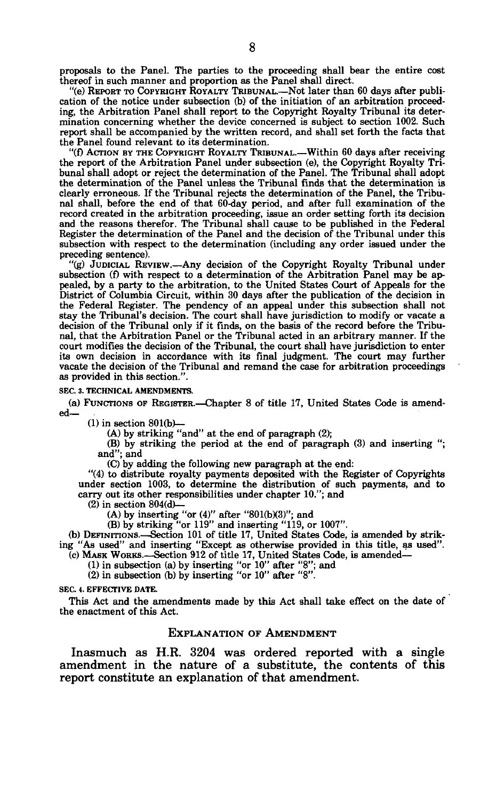proposals to the Panel. The parties to the proceeding shall bear the entire cost thereof in such manner and proportion as the Panel shall direct.

"(e) REPORT TO COPYRIGHT ROYALTY TRIBUNAL.—Not later than 60 days after publication of the notice under subsection (b) of the initiation of an arbitration proceeding, the Arbitration Panel shall report to the Copyright Royalty Tribunal its determination concerning whether the device concerned is subject to section 1002. Such report shall be accompanied by the written record, and shall set forth the facts that the Panel found relevant to its determination.

"(f) ACTION BY THE COPYRIGHT ROYALTY TRIBUNAL.—Within 60 days after receiving the report of the Arbitration Panel under subsection (e), the Copyright Royalty Tribunal shall adopt or reject the determination of the Panel. The Tribunal shall adopt the determination of the Panel unless the Tribunal finds that the determination is clearly erroneous. If the Tribunal rejects the determination of the Panel, the Tribunal shall, before the end of that 60-day period, and after full examination of the record created in the arbitration proceeding, issue an order setting forth its decision and the reasons therefor. The Tribunal shall cause to be published in the Federal Register the determination of the Panel and the decision of the Tribunal under this subsection with respect to the determination (including any order issued under the preceding sentence).

"(g) JUDICIAL REVIEW.—Any decision of the Copyright Royalty Tribunal under subsection (f) with respect to a determination of the Arbitration Panel may be appealed, by a party to the arbitration, to the United States Court of Appeals for the District of Columbia Circuit, within 30 days after the publication of the decision in the Federal Register. The pendency of an appeal under this subsection shall not stay the Tribunal's decision. The court shall have jurisdiction to modify or vacate a decision of the Tribunal only if it finds, on the basis of the record before the Tribunal, that the Arbitration Panel or the Tribunal acted in an arbitrary manner. If the court modifies the decision of the Tribunal, the court shall have jurisdiction to enter its own decision in accordance with its final judgment. The court may further vacate the decision of the Tribunal and remand the case for arbitration proceedings as provided in this section.".

#### **SEC. 3. TECHNICAL AMENDMENTS.**

(a) FUNCTIONS OF REGISTER.—Chapter 8 of title 17, United States Code is amended—

 $(1)$  in section  $801(b)$ —

(A) by striking "and" at the end of paragraph (2);

(B) by striking the period at the end of paragraph (3) and inserting "; and"; and

(C) by adding the following new paragraph at the end:

"(4) to distribute royalty payments deposited with the Register of Copyrights under section 1003, to determine the distribution of such payments, and to carry out its other responsibilities under chapter 10."; and

 $(2)$  in section 804 $(d)$ —

(A) by inserting "or  $(4)$ " after "801(b)(3)"; and

(B) by striking "or 119" and inserting "119, or 1007".

(b) DEFINITIONS Section 101 of title 17, United States Code, is amended by striking "As used" and inserting "Except as otherwise provided in this title, as used". (c) MASK WORKS.—Section 912 of title 17, United States Code, is amended—

 $(1)$  in subsection  $(a)$  by inserting "or  $10$ " after "8"; and (2) in subsection (b) by inserting "or 10" after "8".

**SEC. 4. EFFECTIVE DATE.** 

This Act and the amendments made by this Act shall take effect on the date of the enactment of this Act.

#### EXPLANATION OF AMENDMENT

Inasmuch as H.R. 3204 was ordered reported with a single amendment in the nature of a substitute, the contents of this report constitute an explanation of that amendment.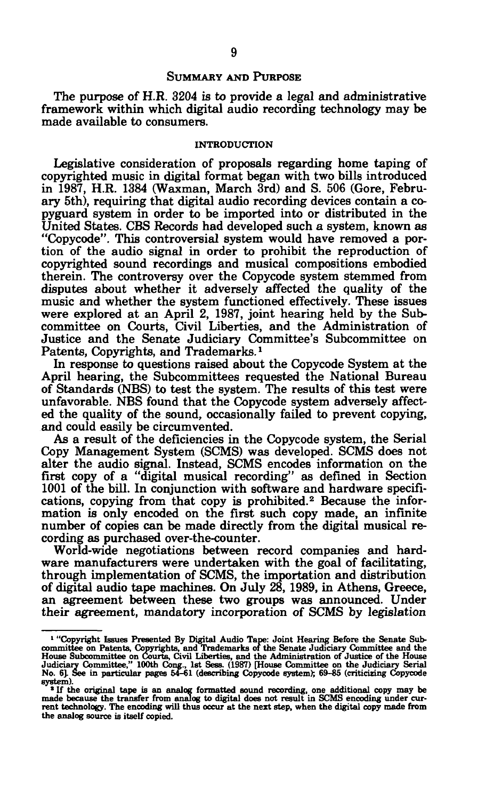## SUMMARY AND PURPOSE

The purpose of H.R. 3204 is to provide a legal and administrative framework within which digital audio recording technology may be made available to consumers.

#### **INTRODUCTION**

Legislative consideration of proposals regarding home taping of copyrighted music in digital format began with two bills introduced in 1987, H.R. 1384 (Waxman, March 3rd) and S. 506 (Gore, February 5th), requiring that digital audio recording devices contain a copyguard system in order to be imported into or distributed in the United States. CBS Records had developed such a system, known as "Copycode". This controversial system would have removed a portion of the audio signal in order to prohibit the reproduction of copyrighted sound recordings and musical compositions embodied therein. The controversy over the Copycode system stemmed from disputes about whether it adversely affected the quality of the music and whether the system functioned effectively. These issues masse and whether the system runeted encouvery. These heads committee on Courts, Civil Liberties, and the Administration of Justice and the Senate Judiciary Committee's Subcommittee on Patents, Copyrights, and Trademarks.<sup>1</sup>

In response to questions raised about the Copycode System at the April hearing, the Subcommittees requested the National Bureau of Standards (NBS) to test the system. The results of this test were unfavorable. NBS found that the Copycode system adversely affected the quality of the sound, occasionally failed to prevent copying, and could easily be circumvented.

As a result of the deficiencies in the Copycode system, the Serial Copy Management System (SCMS) was developed. SCMS does not alter the audio signal. Instead, SCMS encodes information on the first copy of a "digital musical recording" as defined in Section 1001 of the bill. In conjunction with software and hardware specifications, copying from that copy is prohibited.<sup>2</sup> Because the information is only encoded on the first such copy made, an infinite number of copies can be made directly from the digital musical recording as purchased over-the-counter.

World-wide negotiations between record companies and hardware manufacturers were undertaken with the goal of facilitating, through implementation of SCMS, the importation and distribution of digital audio tape machines. On July 28, 1989, in Athens, Greece, an agreement between these two groups was announced. Under their agreement, mandatory incorporation of SCMS by legislation

<sup>&</sup>lt;sup>1</sup> "Copyright Issues Presented By Digital Audio Tape: Joint Hearing Before the Senate Sub-<br>committee on Patents, Copyrights, and Trademarks of the Senate Judiciary Committee and the<br>House Subcommittee, " 100th Cong., 1st system).

<sup>&</sup>lt;sup>2</sup> If the original tape is an analog formatted sound recording, one additional copy may be made because the transfer from analog to digital does not result in SCMS encoding under current technology. The encoding will thus the analog source is itself copied.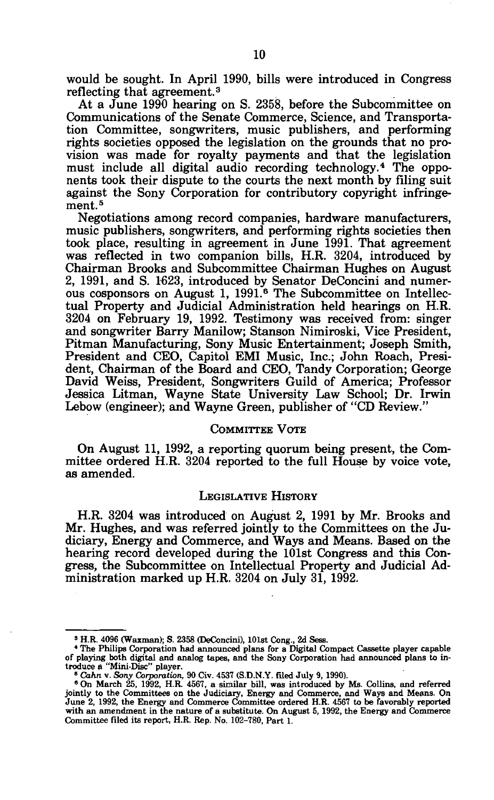would be sought. In April 1990, bills were introduced in Congress reflecting that agreement.<sup>3</sup>

At a June 1990 hearing on S. 2358, before the Subcommittee on Communications of the Senate Commerce, Science, and Transportation Committee, songwriters, music publishers, and performing rights societies opposed the legislation on the grounds that no provision was made for royalty payments and that the legislation must include all digital audio recording technology.<sup>4</sup> The opponents took their dispute to the courts the next month by filing suit against the Sony Corporation for contributory copyright infringement.<sup>5</sup>

Negotiations among record companies, hardware manufacturers, music publishers, songwriters, and performing rights societies then took place, resulting in agreement in June 1991. That agreement was reflected in two companion bills, H.R. 3204, introduced by Chairman Brooks and Subcommittee Chairman Hughes on August 2, 1991, and S. 1623, introduced by Senator DeConcini and numerous cosponsors on August 1, 1991.<sup>6</sup> The Subcommittee on Intellectual Property and Judicial Administration held hearings on H.R. 3204 on February 19, 1992. Testimony was received from: singer and songwriter Barry Manilow; Stanson Nimiroski, Vice President, Pitman Manufacturing, Sony Music Entertainment; Joseph Smith, President and CEO, Capitol EMI Music, Inc.; John Roach, President, Chairman of the Board and CEO, Tandy Corporation; George David Weiss, President, Songwriters Guild of America; Professor Jessica Litman, Wayne State University Law School; Dr. Irwin Lebow (engineer); and Wayne Green, publisher of "CD Review."

## COMMITTEE VOTE

On August 11, 1992, a reporting quorum being present, the Committee ordered H.R. 3204 reported to the full House by voice vote, as amended.

## LEGISLATIVE HISTORY

H.R. 3204 was introduced on August 2, 1991 by Mr. Brooks and Mr. Hughes, and was referred jointly to the Committees on the Judiciary, Energy and Commerce, and Ways and Means. Based on the hearing record developed during the 101st Congress and this Congress, the Subcommittee on Intellectual Property and Judicial Administration marked up H.R. 3204 on July 31, 1992.

<sup>»</sup> H.R. 4096 (Waxman); S. 2358 (DeConcini), 101st Cong., 2d Seas.

<sup>&</sup>lt;sup>4</sup> The Philips Corporation had announced plans for a Digital Compact Cassette player capable<br>of playing both digital and analog tapes, and the Sony Corporation had announced plans to in-<br>troduce a "Mini-Disc" player.<br><sup>5</sup>

with an amendment in the nature of a substitute. On August 5, 1992, the Energy and Commerce Committee filed its report, H.R. Rep. No. 102-780, Part 1.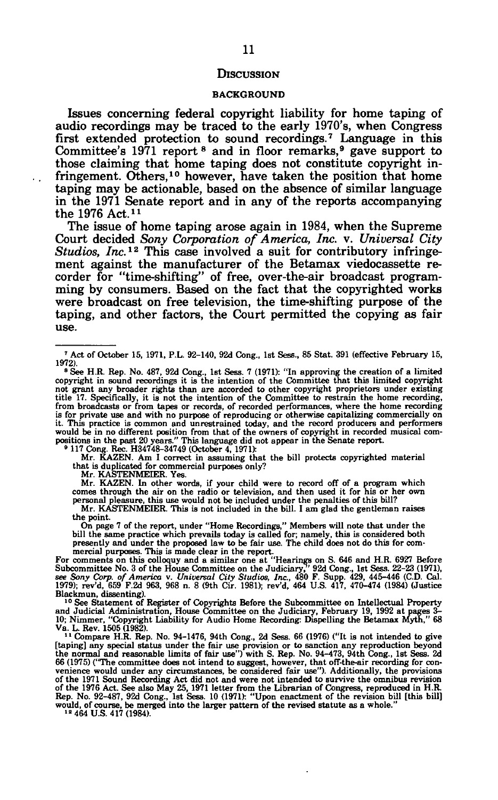#### **DISCUSSION**

#### BACKGROUND

Issues concerning federal copyright liability for home taping of audio recordings may be traced to the early 1970's, when Congress first extended protection to sound recordings.<sup>7</sup> Language in this Committee's 1971 report <sup>8</sup> and in floor remarks,<sup>9</sup> gave support to those claiming that home taping does not constitute copyright infringement. Others,<sup>10</sup> however, have taken the position that home taping may be actionable, based on the absence of similar language in the 1971 Senate report and in any of the reports accompanying the 1976 Act.<sup>11</sup>

The issue of home taping arose again in 1984, when the Supreme Court decided *Sony Corporation of America, Inc.* v. *Universal City Studios, Inc.<sup>12</sup>* This case involved a suit for contributory infringement against the manufacturer of the Betamax viedocassette recorder for "time-shifting" of free, over-the-air broadcast programming by consumers. Based on the fact that the copyrighted works were broadcast on free television, the time-shifting purpose of the taping, and other factors, the Court permitted the copying as fair use.

**Mr. KAZEN. Am I correct in assuming that the bill protects copyrighted material that is duplicated for commercial purposes only?** 

**Mr. KASTENMEIER. Yes.** 

**Mr. KAZEN. In other words, if your child were to record off of a program which comes through the air on the radio or television, and then used it for his or her own personal pleasure, this use would not be included under the penalties of this bill? Mr. KASTENMEIER. This is not included in the bill. I am glad the gentleman raises** 

**the point. On page 7 of the report, under "Home Recordings," Members will note that under the bill the same practice which prevails today is called for; namely, this is considered both presently and under the proposed law to be fair use. The child does not do this for com-**

mercial purposes. This is made clear in the report.<br>For comments on this colloquy and a similar one at "Hearings on S. 646 and H.R. 6927 Before<br>Subcommittee No. 3 of the House Committee on the Judiciary," 92d Cong., 1st Se **Blackmun, dissenting).** 

<sup>10</sup> See Statement of Register of Copyrights Before the Subcommittee on Intellectual Property<br>and Judicial Administration, House Committee on the Judiciary, February 19, 1992 at pages 3-<br>10; Nimmer, "Copyright Liability fo

**[taping] any special status under the fair use provision or to sanction any reproduction beyond the normal and reasonable limits of fair use") with S. Rep. No. 94-473, 94th Cong., 1st Sess. 2d 66 (1975) ("The committee does not intend to suggest, however, that off-the-air recording for con**venience would under any circumstances, be considered fair use"). Additionally, the provisions of the 1971 Sound Recording Act did not and were not intended to survive the omnibus revision of the 1976 Act. See also May 25

**<sup>\*</sup> Act of October 15, 1971, P.L. 92-140, 92d Cong., 1st Sess., 85 Stat. 391 (effective February 15, 1972). <sup>8</sup>**

**See H.R. Rep. No. 487, 92d Cong., 1st Sess. 7 (1971): "In approving the creation of a limited copyright in sound recordings it is the intention of the Committee that this limited copyright**  not grant any broader rights than are accorded to other copyright proprietors under existing<br>title 17. Specifically, it is not the intention of the Committee to restrain the home recording,<br>from broadcasts or from tapes or it. This practice is common and unrestrained today, and the record producers and performers<br>would be in no different position from that of the owners of copyright in recorded musical com-<br>positions in the past 20 years."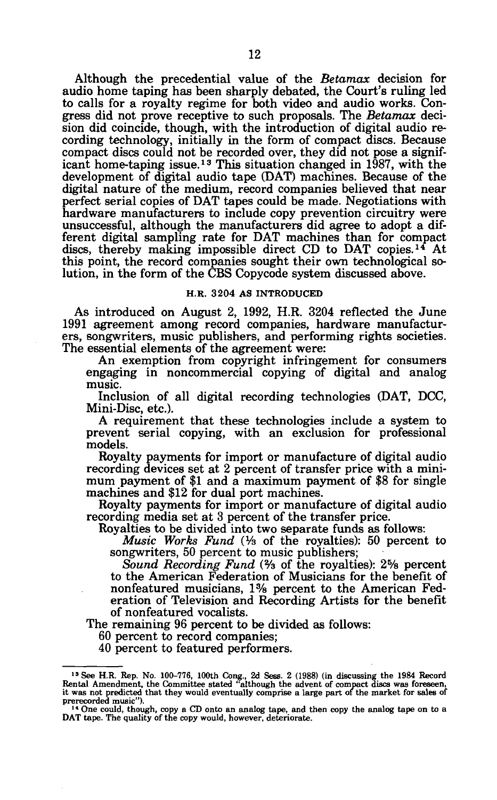Although the precedential value of the *Betamax* decision for audio home taping has been sharply debated, the Court's ruling led to calls for a royalty regime for both video and audio works. Congress did not prove receptive to such proposals. The *Betamax* decision did coincide, though, with the introduction of digital audio recording technology, initially in the form of compact discs. Because compact discs could not be recorded over, they did not pose a significant home-taping issue.<sup>13</sup> This situation changed in 1987, with the development of digital audio tape (DAT) machines. Because of the digital nature of the medium, record companies believed that near perfect serial copies of DAT tapes could be made. Negotiations with hardware manufacturers to include copy prevention circuitry were unsuccessful, although the manufacturers did agree to adopt a different digital sampling rate for DAT machines than for compact discs, thereby making impossible direct CD to DAT copies.<sup>14</sup> At this point, the record companies sought their own technological solution, in the form of the CBS Copycode system discussed above.

## **H.R. 3204 AS INTRODUCED**

As introduced on August 2, 1992, H.R. 3204 reflected the June 1991 agreement among record companies, hardware manufacturers, songwriters, music publishers, and performing rights societies. The essential elements of the agreement were:

An exemption from copyright infringement for consumers engaging in noncommercial copying of digital and analog music.

Inclusion of all digital recording technologies (DAT, DCC, Mini-Disc, etc.).

A requirement that these technologies include a system to prevent serial copying, with an exclusion for professional models.

Royalty payments for import or manufacture of digital audio recording devices set at 2 percent of transfer price with a minimum payment of \$1 and a maximum payment of \$8 for single machines and \$12 for dual port machines.

Royalty payments for import or manufacture of digital audio recording media set at 3 percent of the transfer price.

Royalties to be divided into two separate funds as follows:

*Music Works Fund (Y3* of the royalties): 50 percent to songwriters, 50 percent to music publishers;

*Sound Recording Fund* (% of the royalties): 2% percent to the American Federation of Musicians for the benefit of nonfeatured musicians, 1% percent to the American Federation of Television and Recording Artists for the benefit of nonfeatured vocalists.

The remaining 96 percent to be divided as follows:

60 percent to record companies;

40 percent to featured performers.

<sup>&</sup>lt;sup>13</sup> See H.R. Rep. No. 100-776, 100th Cong., 2d Sess. 2 (1988) (in discussing the 1984 Record Rental Amendment, the Committee stated "although the advent of compact discs was foreseen, it was not predicted that they would prerecorded music").<br>14 One could, though, copy a CD onto an analog tape, and then copy the analog tape on to a

DAT tape. The quality of the copy would, however, deteriorate.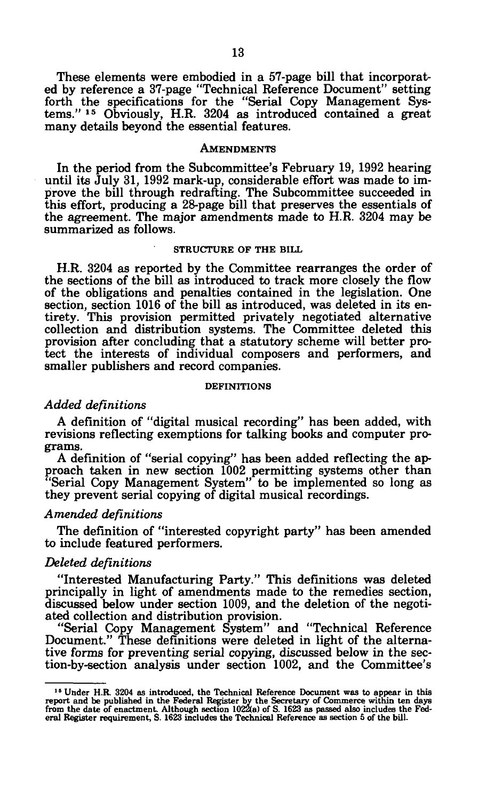These elements were embodied in a 57-page bill that incorporated by reference a 37-page "Technical Reference Document" setting forth the specifications for the "Serial Copy Management Systems." 1S Obviously, H.R. 3204 as introduced contained a great many details beyond the essential features.

## **AMENDMENTS**

In the period from the Subcommittee's February 19, 1992 hearing until its July 31, 1992 mark-up, considerable effort was made to improve the bill through redrafting. The Subcommittee succeeded in this effort, producing a 28-page bill that preserves the essentials of the agreement. The major amendments made to H.R. 3204 may be summarized as follows.

#### **STRUCTURE OF THE BILL**

H.R. 3204 as reported by the Committee rearranges the order of the sections of the bill as introduced to track more closely the flow of the obligations and penalties contained in the legislation. One section, section 1016 of the bill as introduced, was deleted in its entirety. This provision permitted privately negotiated alternative collection and distribution systems. The Committee deleted this provision after concluding that a statutory scheme will better protect the interests of individual composers and performers, and smaller publishers and record companies.

#### **DEFINITIONS**

## *Added definitions*

A definition of "digital musical recording" has been added, with revisions reflecting exemptions for talking books and computer programs.

A definition of "serial copying" has been added reflecting the approach taken in new section 1002 permitting systems other than "Serial Copy Management System" to be implemented so long as they prevent serial copying of digital musical recordings.

#### *Amended definitions*

The definition of "interested copyright party" has been amended to include featured performers.

#### *Deleted definitions*

"Interested Manufacturing Party." This definitions was deleted principally in light of amendments made to the remedies section, discussed below under section 1009, and the deletion of the negotiated collection and distribution provision.

"Serial Copy Management System" and "Technical Reference Document." These definitions were deleted in light of the alternative forms for preventing serial copying, discussed below in the section-by-section analysis under section 1002, and the Committee's

<sup>&</sup>lt;sup>15</sup> Under H.R. 3204 as introduced, the Technical Reference Document was to appear in this report and be published in the Federal Register by the Secretary of Commerce within ten days from the date of enactment. Although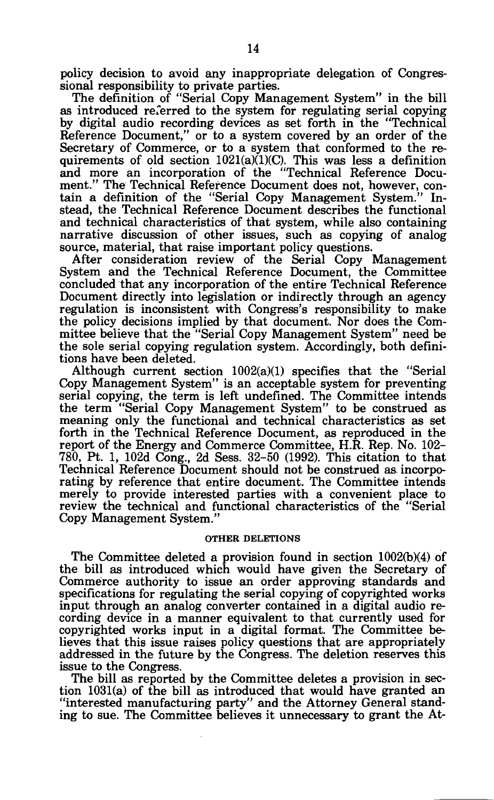policy decision to avoid any inappropriate delegation of Congressional responsibility to private parties.

The definition of "Serial Copy Management System" in the bill as introduced referred to the system for regulating serial copying by digital audio recording devices as set forth in the "Technical Reference Document," or to a system covered by an order of the Secretary of Commerce, or to a system that conformed to the requirements of old section  $1021(a)(1)(C)$ . This was less a definition and more an incorporation of the "Technical Reference Document." The Technical Reference Document does not, however, contain a definition of the "Serial Copy Management System." Instead, the Technical Reference Document describes the functional and technical characteristics of that system, while also containing narrative discussion of other issues, such as copying of analog source, material, that raise important policy questions.

After consideration review of the Serial Copy Management System and the Technical Reference Document, the Committee concluded that any incorporation of the entire Technical Reference Document directly into legislation or indirectly through an agency regulation is inconsistent with Congress's responsibility to make the policy decisions implied by that document. Nor does the Committee believe that the "Serial Copy Management System" need be the sole serial copying regulation system. Accordingly, both definitions have been deleted.

Although current section 1002(a)(1) specifies that the "Serial Copy Management System" is an acceptable system for preventing serial copying, the term is left undefined. The Committee intends the term "Serial Copy Management System" to be construed as meaning only the functional and technical characteristics as set forth in the Technical Reference Document, as reproduced in the report of the Energy and Commerce Committee, H.R. Rep. No. 102- 780, Pt. 1, 102d Cong., 2d Sess. 32-50 (1992). This citation to that Technical Reference Document should not be construed as incorporating by reference that entire document. The Committee intends merely to provide interested parties with a convenient place to review the technical and functional characteristics of the "Serial Copy Management System."

## **OTHER DELETIONS**

The Committee deleted a provision found in section 1002(b)(4) of the bill as introduced which would have given the Secretary of Commerce authority to issue an order approving standards and specifications for regulating the serial copying of copyrighted works input through an analog converter contained in a digital audio recording device in a manner equivalent to that currently used for copyrighted works input in a digital format. The Committee believes that this issue raises policy questions that are appropriately addressed in the future by the Congress. The deletion reserves this issue to the Congress.

The bill as reported by the Committee deletes a provision in section 1031(a) of the bill as introduced that would have granted an "interested manufacturing party" and the Attorney General standing to sue. The Committee believes it unnecessary to grant the At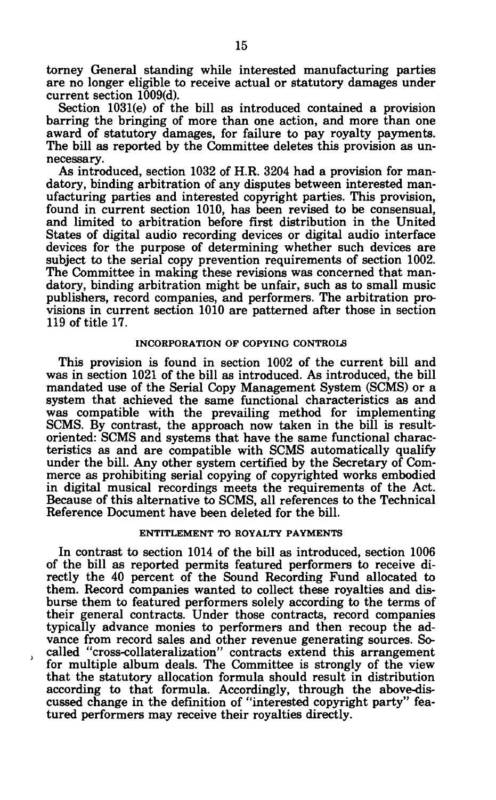torney General standing while interested manufacturing parties are no longer eligible to receive actual or statutory damages under current section 1009(d).

Section 1031(e) of the bill as introduced contained a provision barring the bringing of more than one action, and more than one award of statutory damages, for failure to pay royalty payments. The bill as reported by the Committee deletes this provision as unnecessary.

As introduced, section 1032 of H.R. 3204 had a provision for mandatory, binding arbitration of any disputes between interested manufacturing parties and interested copyright parties. This provision, found in current section 1010, has been revised to be consensual, and limited to arbitration before first distribution in the United States of digital audio recording devices or digital audio interface devices for the purpose of determining whether such devices are subject to the serial copy prevention requirements of section 1002. The Committee in making these revisions was concerned that mandatory, binding arbitration might be unfair, such as to small music publishers, record companies, and performers. The arbitration provisions in current section 1010 are patterned after those in section 119 of title 17.

# **INCORPORATION OF COPYING CONTROLS**

This provision is found in section 1002 of the current bill and was in section 1021 of the bill as introduced. As introduced, the bill mandated use of the Serial Copy Management System (SCMS) or a system that achieved the same functional characteristics as and was compatible with the prevailing method for implementing SCMS. By contrast, the approach now taken in the bill is resultoriented: SCMS and systems that have the same functional characteristics as and are compatible with SCMS automatically qualify under the bill. Any other system certified by the Secretary of Commerce as prohibiting serial copying of copyrighted works embodied in digital musical recordings meets the requirements of the Act. Because of this alternative to SCMS, all references to the Technical Reference Document have been deleted for the bill.

## **ENTITLEMENT TO ROYALTY PAYMENTS**

In contrast to section 1014 of the bill as introduced, section 1006 of the bill as reported permits featured performers to receive directly the 40 percent of the Sound Recording Fund allocated to them. Record companies wanted to collect these royalties and disburse them to featured performers solely according to the terms of their general contracts. Under those contracts, record companies typically advance monies to performers and then recoup the advance from record sales and other revenue generating sources. So called "cross-collateralization" contracts extend this arrangement for multiple album deals. The Committee is strongly of the view that the statutory allocation formula should result in distribution according to that formula. Accordingly, through the above-discussed change in the definition of "interested copyright party" featured performers may receive their royalties directly.

*t*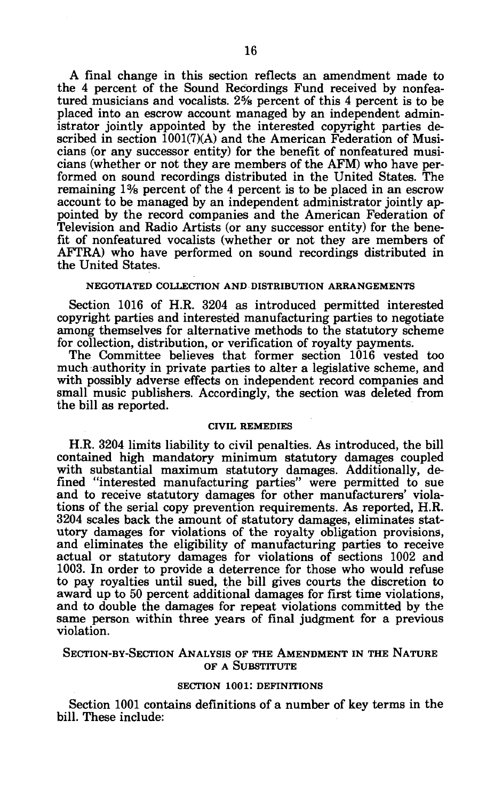A final change in this section reflects an amendment made to the 4 percent of the Sound Recordings Fund received by nonfeatured musicians and vocalists. 2% percent of this 4 percent is to be placed into an escrow account managed by an independent administrator jointly appointed by the interested copyright parties described in section  $1001(7)(A)$  and the American Federation of Musicians (or any successor entity) for the benefit of nonfeatured musicians (whether or not they are members of the AFM) who have performed on sound recordings distributed in the United States. The remaining 1% percent of the 4 percent is to be placed in an escrow account to be managed by an independent administrator jointly appointed by the record companies and the American Federation of Television and Radio Artists (or any successor entity) for the benefit of nonfeatured vocalists (whether or not they are members of AFTRA) who have performed on sound recordings distributed in the United States.

#### **NEGOTIATED COLLECTION AND DISTRIBUTION ARRANGEMENTS**

Section 1016 of H.R. 3204 as introduced permitted interested copyright parties and interested manufacturing parties to negotiate among themselves for alternative methods to the statutory scheme for collection, distribution, or verification of royalty payments.

The Committee believes that former section 1016 vested too much authority in private parties to alter a legislative scheme, and with possibly adverse effects on independent record companies and small music publishers. Accordingly, the section was deleted from the bill as reported.

## **CIVIL REMEDIES**

H.R. 3204 limits liability to civil penalties. As introduced, the bill contained high mandatory minimum statutory damages coupled with substantial maximum statutory damages. Additionally, defined "interested manufacturing parties" were permitted to sue and to receive statutory damages for other manufacturers' violations of the serial copy prevention requirements. As reported, H.R. 3204 scales back the amount of statutory damages, eliminates statutory damages for violations of the royalty obligation provisions, and eliminates the eligibility of manufacturing parties to receive actual or statutory damages for violations of sections 1002 and 1003. In order to provide a deterrence for those who would refuse to pay royalties until sued, the bill gives courts the discretion to award up to 50 percent additional damages for first time violations, and to double the damages for repeat violations committed by the same person within three years of final judgment for a previous violation.

## SECTION-BY-SECTION ANALYSIS OF THE AMENDMENT IN THE NATURE OF A SUBSTITUTE

#### **SECTION 1001: DEFINITIONS**

Section 1001 contains definitions of a number of key terms in the bill. These include: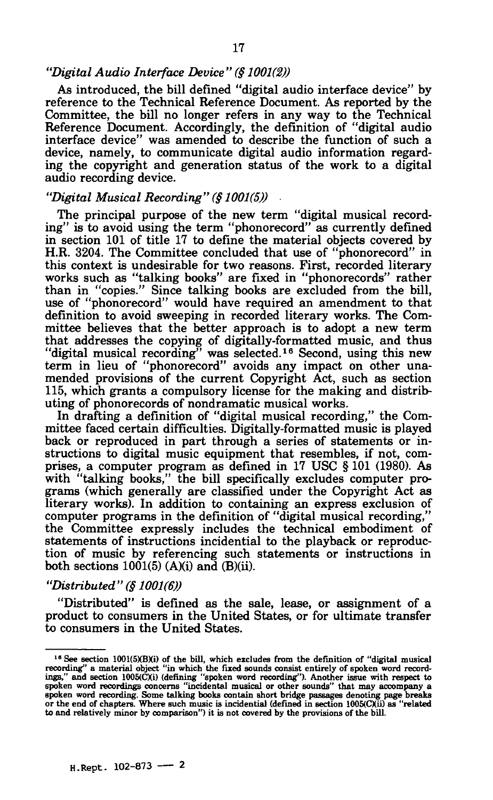## *"Digital Audio Interface Device" (§ 1001(2))*

As introduced, the bill defined "digital audio interface device" by reference to the Technical Reference Document. As reported by the Committee, the bill no longer refers in any way to the Technical Reference Document. Accordingly, the definition of "digital audio interface device" was amended to describe the function of such a device, namely, to communicate digital audio information regarding the copyright and generation status of the work to a digital audio recording device.

# *"Digital Musical Recording" (§ 1001(5))*

The principal purpose of the new term "digital musical recording" is to avoid using the term "phonorecord" as currently defined in section 101 of title 17 to define the material objects covered by H.R. 3204. The Committee concluded that use of "phonorecord" in this context is undesirable for two reasons. First, recorded literary works such as "talking books" are fixed in "phonorecords" rather than in "copies." Since talking books are excluded from the bill, use of "phonorecord" would have required an amendment to that definition to avoid sweeping in recorded literary works. The Committee believes that the better approach is to adopt a new term that addresses the copying of digitally-formatted music, and thus "digital musical recording" was selected.<sup>16</sup> Second, using this new term in lieu of "phonorecord" avoids any impact on other unamended provisions of the current Copyright Act, such as section 115, which grants a compulsory license for the making and distributing of phonorecords of nondramatic musical works.

In drafting a definition of "digital musical recording," the Committee faced certain difficulties. Digitally-formatted music is played back or reproduced in part through a series of statements or instructions to digital music equipment that resembles, if not, comprises, a computer program as defined in 17 USC § 101 (1980). As with "talking books," the bill specifically excludes computer programs (which generally are classified under the Copyright Act as literary works). In addition to containing an express exclusion of computer programs in the definition of "digital musical recording," the Committee expressly includes the technical embodiment of statements of instructions incidential to the playback or reproduction of music by referencing such statements or instructions in both sections  $1001(5)$  (A)(i) and (B)(ii).

# *"Distributed" (§ 1001(6))*

"Distributed" is defined as the sale, lease, or assignment of a product to consumers in the United States, or for ultimate transfer to consumers in the United States.

<sup>&</sup>lt;sup>16</sup> See section 1001(5)(B)(i) of the bill, which excludes from the definition of "digital musical recording" a material object "in which the fixed sounds consist entirely of spoken word recordings," and section 1005(CXi) **to and relatively minor by comparison") it is not covered by the provisions of the bill.**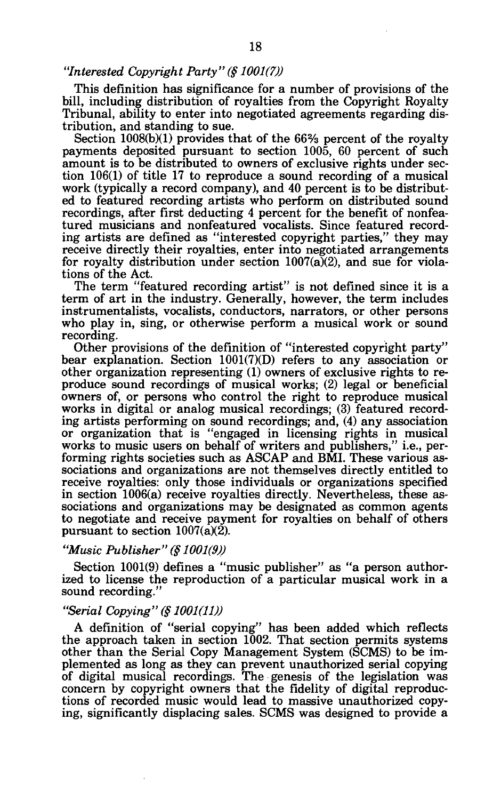# *"Interested Copyright Party" (§ 1001(7))*

This definition has significance for a number of provisions of the bill, including distribution of royalties from the Copyright Royalty Tribunal, ability to enter into negotiated agreements regarding distribution, and standing to sue.

Section 1008(b)(1) provides that of the 66% percent of the royalty payments deposited pursuant to section 1005, 60 percent of such amount is to be distributed to owners of exclusive rights under section 106(1) of title 17 to reproduce a sound recording of a musical work (typically a record company), and 40 percent is to be distributed to featured recording artists who perform on distributed sound recordings, after first deducting 4 percent for the benefit of nonfeatured musicians and nonfeatured vocalists. Since featured recording artists are defined as "interested copyright parties," they may receive directly their royalties, enter into negotiated arrangements for royalty distribution under section  $1007(a)(2)$ , and sue for violations of the Act.

The term "featured recording artist" is not defined since it is a term of art in the industry. Generally, however, the term includes instrumentalists, vocalists, conductors, narrators, or other persons who play in, sing, or otherwise perform a musical work or sound recording.

Other provisions of the definition of "interested copyright party" bear explanation. Section 1001(7)(D) refers to any association or other organization representing (1) owners of exclusive rights to reproduce sound recordings of musical works; (2) legal or beneficial owners of, or persons who control the right to reproduce musical works in digital or analog musical recordings; (3) featured recording artists performing on sound recordings; and, (4) any association or organization that is "engaged in licensing rights in musical works to music users on behalf of writers and publishers," i.e., performing rights societies such as ASCAP and BMI. These various associations and organizations are not themselves directly entitled to receive royalties: only those individuals or organizations specified in section 1006(a) receive royalties directly. Nevertheless, these associations and organizations may be designated as common agents to negotiate and receive payment for royalties on behalf of others pursuant to section 1007(a)(2).

## *"Music Publisher" (§ 1001(9))*

Section 1001(9) defines a "music publisher" as "a person authorized to license the reproduction of a particular musical work in a sound recording."

# *"Serial Copying" (§ 1001(11))*

A definition of "serial copying" has been added which reflects the approach taken in section 1002. That section permits systems other than the Serial Copy Management System (SCMS) to be implemented as long as they can prevent unauthorized serial copying of digital musical recordings. The genesis of the legislation was concern by copyright owners that the fidelity of digital reproductions of recorded music would lead to massive unauthorized copying, significantly displacing sales. SCMS was designed to provide a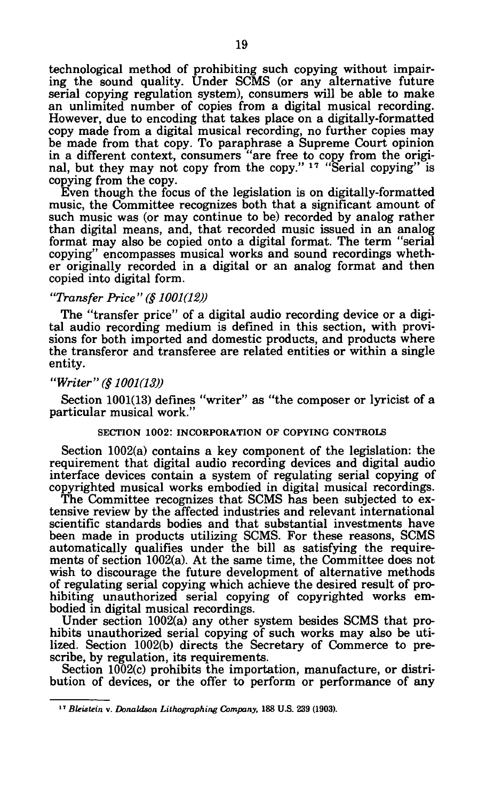technological method of prohibiting such copying without impairing the sound quality. Under SCMS (or any alternative future serial copying regulation system), consumers will be able to make an unlimited number of copies from a digital musical recording. However, due to encoding that takes place on a digitally-formatted copy made from a digital musical recording, no further copies may be made from that copy. To paraphrase a Supreme Court opinion in a different context, consumers "are free to copy from the original, but they may not copy from the copy."<sup>17</sup> "Serial copying" is copying from the copy.

Even though the focus of the legislation is on digitally-formatted music, the Committee recognizes both that a significant amount of such music was (or may continue to be) recorded by analog rather than digital means, and, that recorded music issued in an analog format may also be copied onto a digital format. The term "serial copying" encompasses musical works and sound recordings whether originally recorded in a digital or an analog format and then copied into digital form.

# *"Transfer Price" (§ 1001(12))*

The "transfer price" of a digital audio recording device or a digital audio recording medium is defined in this section, with provisions for both imported and domestic products, and products where the transferor and transferee are related entities or within a single entity.

#### *"Writer"(§ 1001(13))*

Section 1001(13) defines "writer" as "the composer or lyricist of a particular musical work."

#### **SECTION 1002: INCORPORATION OF COPYING CONTROLS**

Section 1002(a) contains a key component of the legislation: the requirement that digital audio recording devices and digital audio interface devices contain a system of regulating serial copying of copyrighted musical works embodied in digital musical recordings.

The Committee recognizes that SCMS has been subjected to extensive review by the affected industries and relevant international scientific standards bodies and that substantial investments have been made in products utilizing SCMS. For these reasons, SCMS automatically qualifies under the bill as satisfying the requirements of section 1002(a). At the same time, the Committee does not wish to discourage the future development of alternative methods of regulating serial copying which achieve the desired result of prohibiting unauthorized serial copying of copyrighted works embodied in digital musical recordings.

Under section 1002(a) any other system besides SCMS that prohibits unauthorized serial copying of such works may also be utilized. Section 1002(b) directs the Secretary of Commerce to prescribe, by regulation, its requirements.

Section 1002(c) prohibits the importation, manufacture, or distribution of devices, or the offer to perform or performance of any

**<sup>17</sup>**  *BUistein* **v.** *Donaldson Lithographing Company,* **188 U.S. 239 (1903).**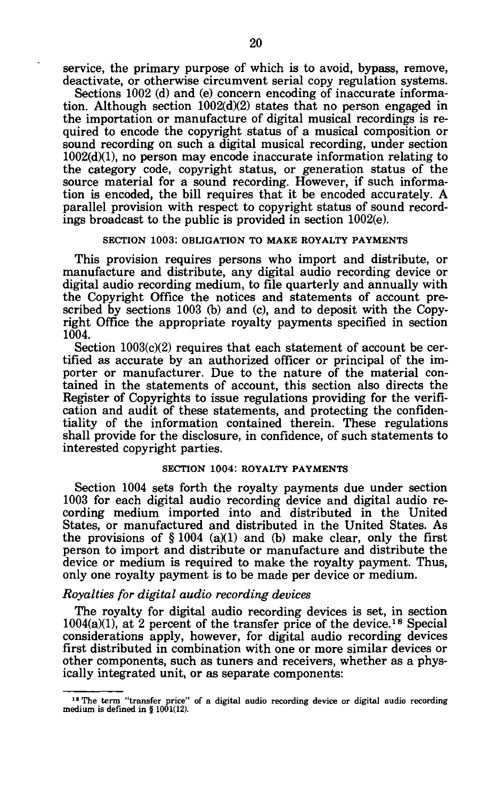service, the primary purpose of which is to avoid, bypass, remove, deactivate, or otherwise circumvent serial copy regulation systems.

Sections 1002 (d) and (e) concern encoding of inaccurate information. Although section 1002(d)(2) states that no person engaged in the importation or manufacture of digital musical recordings is required to encode the copyright status of a musical composition or sound recording on such a digital musical recording, under section 1002(d)(1), no person may encode inaccurate information relating to the category code, copyright status, or generation status of the source material for a sound recording. However, if such information is encoded, the bill requires that it be encoded accurately. A parallel provision with respect to copyright status of sound recordings broadcast to the public is provided in section 1002(e).

#### **SECTION 1003: OBLIGATION TO MAKE ROYALTY PAYMENTS**

This provision requires persons who import and distribute, or manufacture and distribute, any digital audio recording device or digital audio recording medium, to file quarterly and annually with the Copyright Office the notices and statements of account prescribed by sections 1003 (b) and (c), and to deposit with the Copyright Office the appropriate royalty payments specified in section 1004.

Section 1003(c)(2) requires that each statement of account be certified as accurate by an authorized officer or principal of the importer or manufacturer. Due to the nature of the material contained in the statements of account, this section also directs the Register of Copyrights to issue regulations providing for the verification and audit of these statements, and protecting the confidentiality of the information contained therein. These regulations shall provide for the disclosure, in confidence, of such statements to interested copyright parties.

#### **SECTION 1004: ROYALTY PAYMENTS**

Section 1004 sets forth the royalty payments due under section 1003 for each digital audio recording device and digital audio recording medium imported into and distributed in the United States, or manufactured and distributed in the United States. As the provisions of  $\S 1004$  (a)(1) and (b) make clear, only the first person to import and distribute or manufacture and distribute the device or medium is required to make the royalty payment. Thus, only one royalty payment is to be made per device or medium.

#### *Royalties for digital audio recording devices*

The royalty for digital audio recording devices is set, in section  $1004(a)(1)$ , at 2 percent of the transfer price of the device.<sup>18</sup> Special considerations apply, however, for digital audio recording devices first distributed in combination with one or more similar devices or other components, such as tuners and receivers, whether as a physically integrated unit, or as separate components:

**<sup>18</sup> The term "transfer price" of a digital audio recording device or digital audio recording medium is defined in § 1001(12).**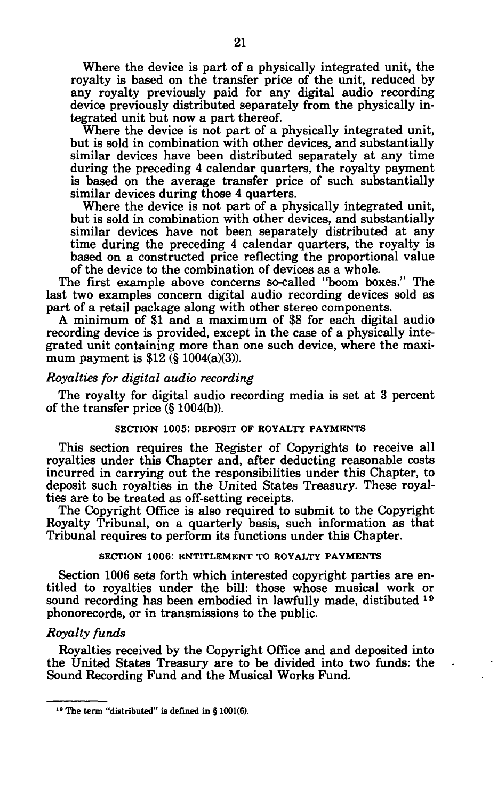Where the device is part of a physically integrated unit, the royalty is based on the transfer price of the unit, reduced by any royalty previously paid for any digital audio recording device previously distributed separately from the physically integrated unit but now a part thereof.

Where the device is not part of a physically integrated unit, but is sold in combination with other devices, and substantially similar devices have been distributed separately at any time during the preceding 4 calendar quarters, the royalty payment is based on the average transfer price of such substantially similar devices during those 4 quarters.

Where the device is not part of a physically integrated unit, but is sold in combination with other devices, and substantially similar devices have not been separately distributed at any time during the preceding 4 calendar quarters, the royalty is based on a constructed price reflecting the proportional value of the device to the combination of devices as a whole.

The first example above concerns so-called "boom boxes." The last two examples concern digital audio recording devices sold as part of a retail package along with other stereo components.

A minimum of \$1 and a maximum of \$8 for each digital audio recording device is provided, except in the case of a physically integrated unit containing more than one such device, where the maximum payment is  $$12$  (§  $1004(a)(3)$ ).

## *Royalties for digital audio recording*

The royalty for digital audio recording media is set at 3 percent of the transfer price (§ 1004(b)).

# **SECTION 1005: DEPOSIT OF ROYALTY PAYMENTS**

This section requires the Register of Copyrights to receive all royalties under this Chapter and, after deducting reasonable costs incurred in carrying out the responsibilities under this Chapter, to deposit such royalties in the United States Treasury. These royalties are to be treated as off-setting receipts.

The Copyright Office is also required to submit to the Copyright Royalty Tribunal, on a quarterly basis, such information as that Tribunal requires to perform its functions under this Chapter.

# **SECTION 1006: ENTITLEMENT TO ROYALTY PAYMENTS**

Section 1006 sets forth which interested copyright parties are entitled to royalties under the bill: those whose musical work or sound recording has been embodied in lawfully made, distibuted <sup>19</sup> phonorecords, or in transmissions to the public.

## *Royalty funds*

Royalties received by the Copyright Office and and deposited into the United States Treasury are to be divided into two funds: the Sound Recording Fund and the Musical Works Fund.

**<sup>••</sup> The term "distributed" is defined in § 1001(6).**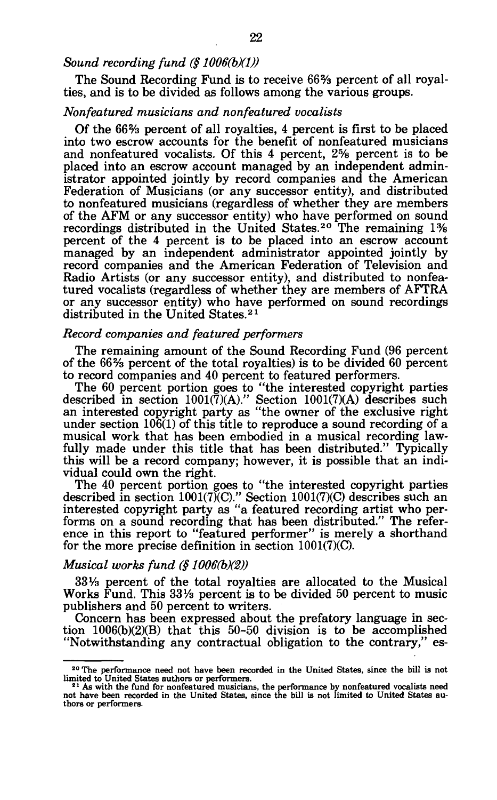# *Sound recording fund (§ 1006(b)(1))*

The Sound Recording Fund is to receive 66% percent of all royalties, and is to be divided as follows among the various groups.

## *Nonfeatured musicians and nonfeatured vocalists*

Of the 66% percent of all royalties, 4 percent is first to be placed into two escrow accounts for the benefit of nonfeatured musicians and nonfeatured vocalists. Of this 4 percent, 2% percent is to be placed into an escrow account managed by an independent administrator appointed jointly by record companies and the American Federation of Musicians (or any successor entity), and distributed to nonfeatured musicians (regardless of whether they are members of the AFM or any successor entity) who have performed on sound recordings distributed in the United States.<sup>20</sup> The remaining 1% percent of the 4 percent is to be placed into an escrow account managed by an independent administrator appointed jointly by record companies and the American Federation of Television and Radio Artists (or any successor entity), and distributed to nonfeatured vocalists (regardless of whether they are members of AFTRA or any successor entity) who have performed on sound recordings distributed in the United States.<sup>21</sup>

# *Record companies and featured performers*

The remaining amount of the Sound Recording Fund (96 percent of the 66% percent of the total royalties) is to be divided 60 percent to record companies and 40 percent to featured performers.

The 60 percent portion goes to "the interested copyright parties described in section 1001(7)(A)." Section 1001(7)(A) describes such an interested copyright party as "the owner of the exclusive right under section 106(1) of this title to reproduce a sound recording of a musical work that has been embodied in a musical recording lawfully made under this title that has been distributed." Typically this will be a record company; however, it is possible that an individual could own the right.

The 40 percent portion goes to "the interested copyright parties described in section 1001(7)(Q." Section 1001(7)(C) describes such an interested copyright party as "a featured recording artist who performs on a sound recording that has been distributed." The reference in this report to "featured performer" is merely a shorthand for the more precise definition in section 1001(7)(C).

## *Musical works fund (§ 1006(b)(2))*

33 Va percent of the total royalties are allocated to the Musical Works Fund. This  $33\frac{1}{3}$  percent is to be divided 50 percent to music publishers and 50 percent to writers.

Concern has been expressed about the prefatory language in section 1006(b)(2)(B) that this 50-50 division is to be accomplished "Notwithstanding any contractual obligation to the contrary," es-

<sup>&</sup>lt;sup>20</sup> The performance need not have been recorded in the United States, since the bill is not

limited to United States authors or performers.<br><sup>21</sup> As with the fund for nonfeatured musicians, the performance by nonfeatured vocalists need<br>not have been recorded in the United States, since the bill is not limited to thors or performers.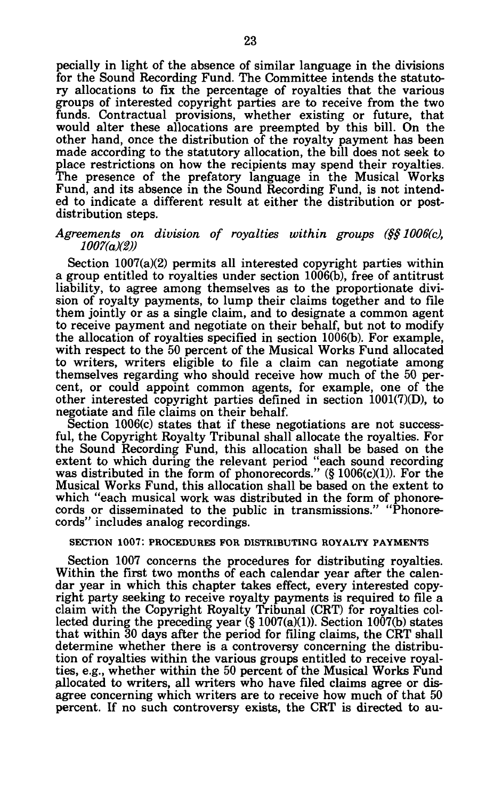pecially in light of the absence of similar language in the divisions for the Sound Recording Fund. The Committee intends the statutory allocations to fix the percentage of royalties that the various groups of interested copyright parties are to receive from the two funds. Contractual provisions, whether existing or future, that would alter these allocations are preempted by this bill. On the other hand, once the distribution of the royalty payment has been made according to the statutory allocation, the bill does not seek to place restrictions on how the recipients may spend their royalties. The presence of the prefatory language in the Musical Works Fund, and its absence in the Sound Recording Fund, is not intended to indicate a different result at either the distribution or postdistribution steps.

## *Agreements on division of royalties within groups (§§ 1006(c), 1007(a)(2))*

Section 1007(a)(2) permits all interested copyright parties within a group entitled to royalties under section 1006(b), free of antitrust liability, to agree among themselves as to the proportionate division of royalty payments, to lump their claims together and to file them jointly or as a single claim, and to designate a common agent to receive payment and negotiate on their behalf, but not to modify the allocation of royalties specified in section 1006(b). For example, with respect to the 50 percent of the Musical Works Fund allocated to writers, writers eligible to file a claim can negotiate among themselves regarding who should receive how much of the 50 percent, or could appoint common agents, for example, one of the other interested copyright parties defined in section 1001(7)(D), to negotiate and file claims on their behalf.

Section 1006(c) states that if these negotiations are not successful, the Copyright Royalty Tribunal shall allocate the royalties. For the Sound Recording Fund, this allocation shall be based on the extent to which during the relevant period "each sound recording was distributed in the form of phonorecords."  $(\S 1006(c)(1))$ . For the Musical Works Fund, this allocation shall be based on the extent to which "each musical work was distributed in the form of phonorecords or disseminated to the public in transmissions." "Phonorecords" includes analog recordings.

## **SECTION 1007: PROCEDURES FOR DISTRIBUTING ROYALTY PAYMENTS**

Section 1007 concerns the procedures for distributing royalties. Within the first two months of each calendar year after the calendar year in which this chapter takes effect, every interested copyright party seeking to receive royalty payments is required to file a claim with the Copyright Royalty Tribunal (CRT) for royalties collected during the preceding year  $(\S 1007(a)(1))$ . Section 1007(b) states that within 30 days after the period for filing claims, the CRT shall determine whether there is a controversy concerning the distribution of royalties within the various groups entitled to receive royalties, e.g., whether within the 50 percent of the Musical Works Fund allocated to writers, all writers who have filed claims agree or disagree concerning which writers are to receive how much of that 50 percent. If no such controversy exists, the CRT is directed to au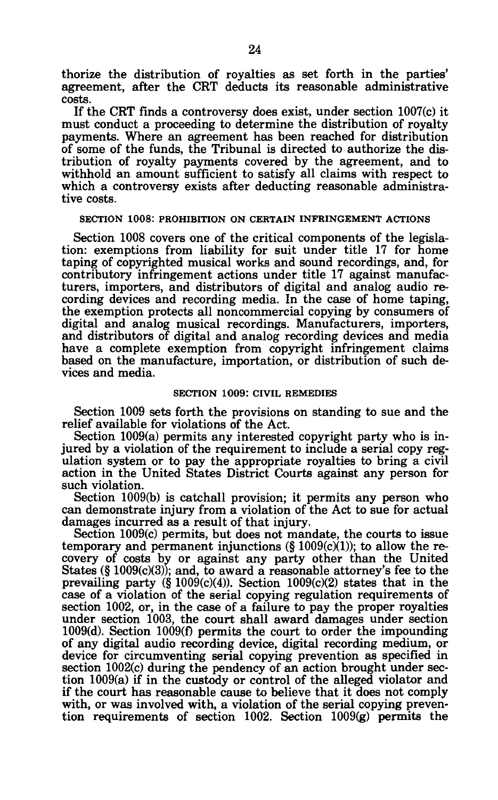thorize the distribution of royalties as set forth in the parties' agreement, after the CRT deducts its reasonable administrative costs.

If the CRT finds a controversy does exist, under section 1007(c) it must conduct a proceeding to determine the distribution of royalty payments. Where an agreement has been reached for distribution of some of the funds, the Tribunal is directed to authorize the distribution of royalty payments covered by the agreement, and to withhold an amount sufficient to satisfy all claims with respect to which a controversy exists after deducting reasonable administrative costs.

#### **SECTION 1008: PROHIBITION ON CERTAIN INFRINGEMENT ACTIONS**

Section 1008 covers one of the critical components of the legislation: exemptions from liability for suit under title 17 for home taping of copyrighted musical works and sound recordings, and, for contributory infringement actions under title 17 against manufacturers, importers, and distributors of digital and analog audio recording devices and recording media. In the case of home taping, the exemption protects all noncommercial copying by consumers of digital and analog musical recordings. Manufacturers, importers, and distributors of digital and analog recording devices and media have a complete exemption from copyright infringement claims based on the manufacture, importation, or distribution of such devices and media.

#### **SECTION 1009: CIVIL REMEDIES**

Section 1009 sets forth the provisions on standing to sue and the relief available for violations of the Act.

Section 1009(a) permits any interested copyright party who is injured by a violation of the requirement to include a serial copy regulation system or to pay the appropriate royalties to bring a civil action in the United States District Courts against any person for such violation.

Section 1009(b) is catchall provision; it permits any person who can demonstrate injury from a violation of the Act to sue for actual damages incurred as a result of that injury.

Section 1009(c) permits, but does not mandate, the courts to issue temporary and permanent injunctions  $(\S 1009(c)(1))$ ; to allow the recovery of costs by or against any party other than the United States (§ 1009(c)(3)); and, to award a reasonable attorney's fee to the prevailing party  $(\S 1009(c)(4))$ . Section  $1009(c)(2)$  states that in the case of a violation of the serial copying regulation requirements of section 1002, or, in the case of a failure to pay the proper royalties under section 1003, the court shall award damages under section 1009(d). Section 1009(f) permits the court to order the impounding of any digital audio recording device, digital recording medium, or device for circumventing serial copying prevention as specified in section 1002(c) during the pendency of an action brought under section 1009(a) if in the custody or control of the alleged violator and if the court has reasonable cause to believe that it does not comply with, or was involved with, a violation of the serial copying prevention requirements of section 1002. Section 1009(g) permits the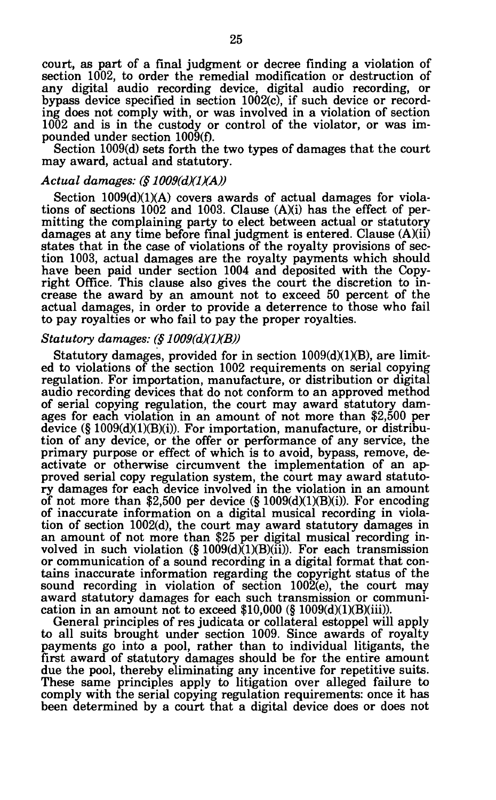court, as part of a final judgment or decree finding a violation of section 1002, to order the remedial modification or destruction of any digital audio recording device, digital audio recording, or bypass device specified in section 1002(c), if such device or recording does not comply with, or was involved in a violation of section 1002 and is in the custody or control of the violator, or was impounded under section 1009(f).

Section 1009(d) sets forth the two types of damages that the court may award, actual and statutory.

# *Actual damages: (§ 1009(dXlXA))*

Section 1009(d)(1)(A) covers awards of actual damages for violations of sections 1002 and 1003. Clause (A)(i) has the effect of permitting the complaining party to elect between actual or statutory damages at any time before final judgment is entered. Clause (A)(ii) states that in the case of violations of the royalty provisions of section 1003, actual damages are the royalty payments which should have been paid under section 1004 and deposited with the Copyright Office. This clause also gives the court the discretion to increase the award by an amount not to exceed 50 percent of the actual damages, in order to provide a deterrence to those who fail to pay royalties or who fail to pay the proper royalties.

## *Statutory damages: (§ 1009(d)(1)(B))*

Statutory damages, provided for in section 1009(d)(1)(B), are limited to violations of the section 1002 requirements on serial copying regulation. For importation, manufacture, or distribution or digital audio recording devices that do not conform to an approved method of serial copying regulation, the court may award statutory damages for each violation in an amount of not more than \$2,500 per device  $(\S 1009(d)(1)(B)(i))$ . For importation, manufacture, or distribution of any device, or the offer or performance of any service, the primary purpose or effect of which is to avoid, bypass, remove, deactivate or otherwise circumvent the implementation of an approved serial copy regulation system, the court may award statutory damages for each device involved in the violation in an amount of not more than \$2,500 per device (§ 1009(d)(l)(B)(i)). For encoding of inaccurate information on a digital musical recording in violation of section 1002(d), the court may award statutory damages in an amount of not more than \$25 per digital musical recording involved in such violation  $(\S 1009(d)(1)(B)(ii))$ . For each transmission or communication of a sound recording in a digital format that contains inaccurate information regarding the copyright status of the sound recording in violation of section 1002(e), the court may award statutory damages for each such transmission or communication in an amount not to exceed  $$10,000$  (§  $1009(d)(1)(B)(iii)$ ).

General principles of res judicata or collateral estoppel will apply to all suits brought under section 1009. Since awards of royalty payments go into a pool, rather than to individual litigants, the first award of statutory damages should be for the entire amount due the pool, thereby eliminating any incentive for repetitive suits. These same principles apply to litigation over alleged failure to comply with the serial copying regulation requirements: once it has been determined by a court that a digital device does or does not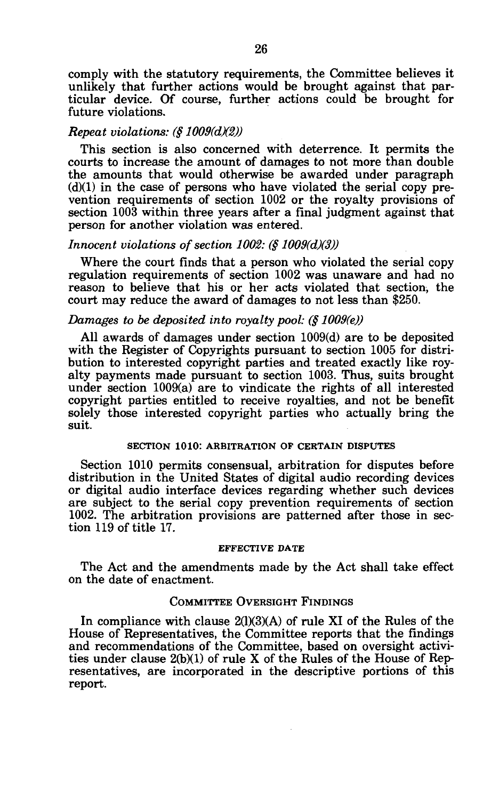comply with the statutory requirements, the Committee believes it unlikely that further actions would be brought against that particular device. Of course, further actions could be brought for future violations.

#### *Repeat violations: (§ 1009(dX2))*

This section is also concerned with deterrence. It permits the courts to increase the amount of damages to not more than double the amounts that would otherwise be awarded under paragraph  $(d)(1)$  in the case of persons who have violated the serial copy prevention requirements of section 1002 or the royalty provisions of section 1003 within three years after a final judgment against that person for another violation was entered.

#### *Innocent violations of section 1002: (§ 1009(d)(3))*

Where the court finds that a person who violated the serial copy regulation requirements of section 1002 was unaware and had no reason to believe that his or her acts violated that section, the court may reduce the award of damages to not less than \$250.

## *Damages to be deposited into royalty pool: (§ 1009(e))*

All awards of damages under section 1009(d) are to be deposited with the Register of Copyrights pursuant to section 1005 for distribution to interested copyright parties and treated exactly like royalty payments made pursuant to section 1003. Thus, suits brought under section 1009(a) are to vindicate the rights of all interested copyright parties entitled to receive royalties, and not be benefit solely those interested copyright parties who actually bring the suit.

# **SECTION 1010: ARBITRATION OF CERTAIN DISPUTES**

Section 1010 permits consensual, arbitration for disputes before distribution in the United States of digital audio recording devices or digital audio interface devices regarding whether such devices are subject to the serial copy prevention requirements of section 1002. The arbitration provisions are patterned after those in section 119 of title 17.

## **EFFECTIVE DATE**

The Act and the amendments made by the Act shall take effect on the date of enactment.

# COMMITTEE OVERSIGHT FINDINGS

In compliance with clause 2(1)(3)(A) of rule XI of the Rules of the House of Representatives, the Committee reports that the findings and recommendations of the Committee, based on oversight activities under clause 2(b)(1) of rule X of the Rules of the House of Representatives, are incorporated in the descriptive portions of this report.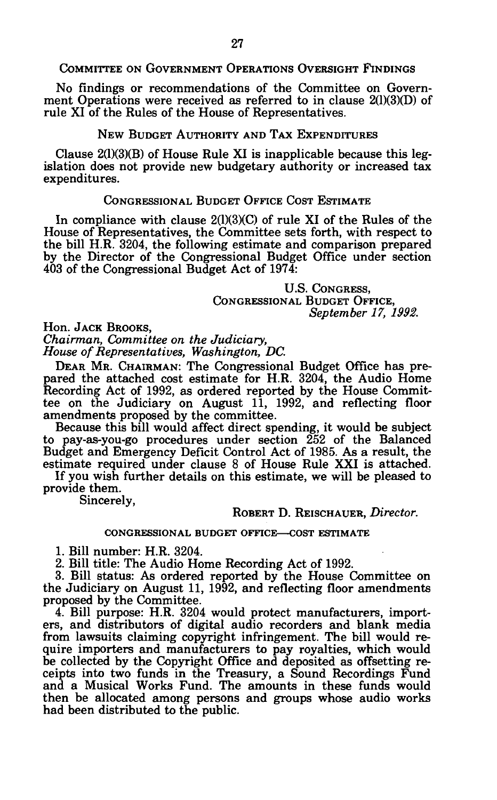COMMITTEE ON GOVERNMENT OPERATIONS OVERSIGHT FINDINGS

No findings or recommendations of the Committee on Government Operations were received as referred to in clause 2(1)(3)(D) of rule XI of the Rules of the House of Representatives.

# NEW BUDGET AUTHORITY AND TAX EXPENDITURES

Clause 2(1)(3)(B) of House Rule XI is inapplicable because this legislation does not provide new budgetary authority or increased tax expenditures.

## CONGRESSIONAL BUDGET OFFICE COST ESTIMATE

In compliance with clause 2(1)(3)(C) of rule XI of the Rules of the House of Representatives, the Committee sets forth, with respect to the bill H.R. 3204, the following estimate and comparison prepared by the Director of the Congressional Budget Office under section 403 of the Congressional Budget Act of 1974:

> U.S. CONGRESS, CONGRESSIONAL BUDGET OFFICE, *September 17, 1992.*

Hon. JACK BROOKS,

*Chairman, Committee on the Judiciary, House of Representatives, Washington, DC.* 

DEAR MR. CHAIRMAN: The Congressional Budget Office has prepared the attached cost estimate for H.R. 3204, the Audio Home Recording Act of 1992, as ordered reported by the House Committee on the Judiciary on August 11, 1992, and reflecting floor amendments proposed by the committee.

Because this bill would affect direct spending, it would be subject to pay-as-you-go procedures under section 252 of the Balanced Budget and Emergency Deficit Control Act of 1985. As a result, the estimate required under clause 8 of House Rule XXI is attached.

If you wish further details on this estimate, we will be pleased to provide them.

Sincerely,

## ROBERT D. REISCHAUER, *Director.*

## CONGRESSIONAL BUDGET OFFICE—COST ESTIMATE

1. Bill number: H.R. 3204.

2. Bill title: The Audio Home Recording Act of 1992.

3. Bill status: As ordered reported by the House Committee on the Judiciary on August 11, 1992, and reflecting floor amendments proposed by the Committee.

4. Bill purpose: H.R. 3204 would protect manufacturers, importers, and distributors of digital audio recorders and blank media from lawsuits claiming copyright infringement. The bill would require importers and manufacturers to pay royalties, which would be collected by the Copyright Office and deposited as offsetting receipts into two funds in the Treasury, a Sound Recordings Fund and a Musical Works Fund. The amounts in these funds would then be allocated among persons and groups whose audio works had been distributed to the public.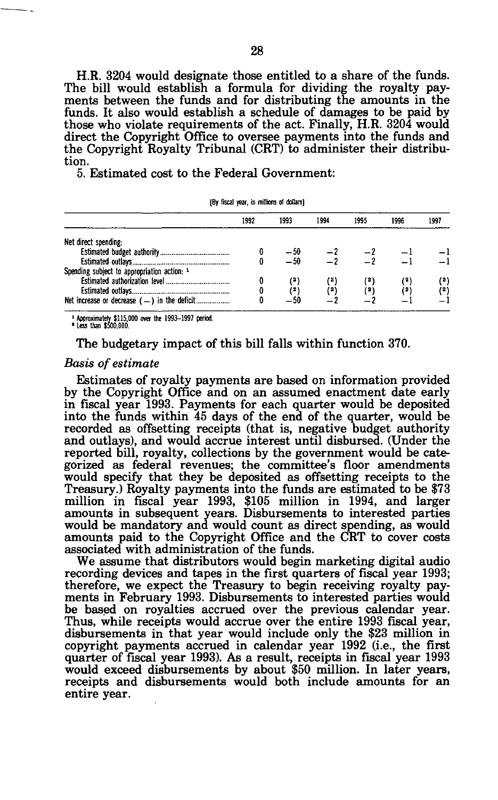H.R. 3204 would designate those entitled to a share of the funds. The bill would establish a formula for dividing the royalty payments between the funds and for distributing the amounts in the funds. It also would establish a schedule of damages to be paid by those who violate requirements of the act. Finally, H.R. 3204 would direct the Copyright Office to oversee payments into the funds and the Copyright Royalty Tribunal (CRT) to administer their distribution.

5. Estimated cost to the Federal Government:

| IDY IIXAI YEAH, III IIIIIKUIS UI UUNAISI    |      |                |                 |      |      |       |  |
|---------------------------------------------|------|----------------|-----------------|------|------|-------|--|
|                                             | 1992 | 1993           | 1994            | 1995 | 1996 | 1997  |  |
| Net direct spending:                        |      |                |                 |      |      |       |  |
|                                             |      |                |                 |      |      |       |  |
|                                             |      | $-50$<br>$-50$ | $\frac{-2}{-2}$ |      |      |       |  |
| Spending subject to appropriation action: 1 |      |                |                 |      |      |       |  |
|                                             |      |                |                 |      |      | $($ " |  |
|                                             |      | (2)            | (2)             | (3)  | (2)  | (2)   |  |
|                                             |      | $-50$          |                 |      |      |       |  |

**[By fiscal year, in millions of dollars]** 

**1 Approximately {115,000 over the 1993-1997 period. ' Less than (500,000.** 

The budgetary impact of this bill falls within function 370.

#### *Basis of estimate*

Estimates of royalty payments are based on information provided by the Copyright Office and on an assumed enactment date early in fiscal year 1993. Payments for each quarter would be deposited into the funds within 45 days of the end of the quarter, would be recorded as offsetting receipts (that is, negative budget authority and outlays), and would accrue interest until disbursed. (Under the reported bill, royalty, collections by the government would be categorized as federal revenues; the committee's floor amendments would specify that they be deposited as offsetting receipts to the Treasury.) Royalty payments into the funds are estimated to be \$73 million in fiscal year 1993, \$105 million in 1994, and larger amounts in subsequent years. Disbursements to interested parties would be mandatory and would count as direct spending, as would amounts paid to the Copyright Office and the CRT to cover costs associated with administration of the funds.

We assume that distributors would begin marketing digital audio recording devices and tapes in the first quarters of fiscal year 1993; therefore, we expect the Treasury to begin receiving royalty payments in February 1993. Disbursements to interested parties would be based on royalties accrued over the previous calendar year. Thus, while receipts would accrue over the entire 1993 fiscal year, disbursements in that year would include only the \$23 million in copyright payments accrued in calendar year 1992 (i.e., the first quarter of fiscal year 1993). As a result, receipts in fiscal year 1993 would exceed disbursements by about \$50 million. In later years, receipts and disbursements would both include amounts for an entire year.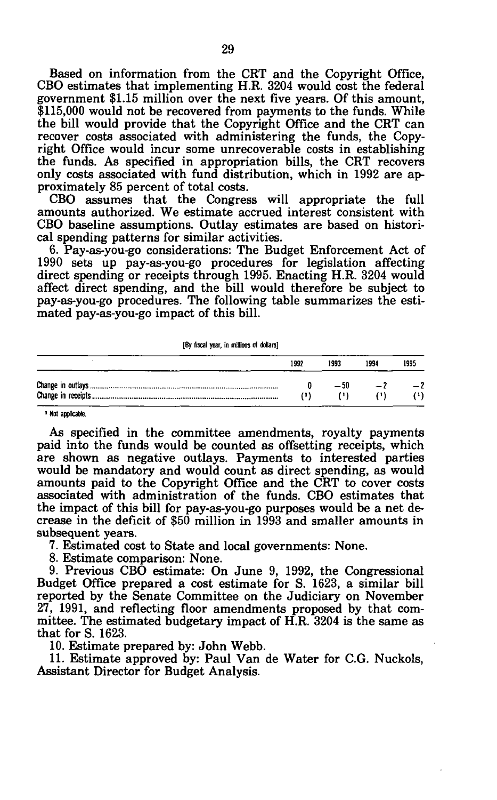Based on information from the CRT and the Copyright Office, CBO estimates that implementing H.R. 3204 would cost the federal government \$1.15 million over the next five years. Of this amount, \$115,000 would not be recovered from payments to the funds. While the bill would provide that the Copyright Office and the CRT can recover costs associated with administering the funds, the Copyright Office would incur some unrecoverable costs in establishing the funds. As specified in appropriation bills, the CRT recovers only costs associated with fund distribution, which in 1992 are approximately 85 percent of total costs.

CBO assumes that the Congress will appropriate the full amounts authorized. We estimate accrued interest consistent with CBO baseline assumptions. Outlay estimates are based on historical spending patterns for similar activities.

6. Pay-as-you-go considerations: The Budget Enforcement Act of 1990 sets up pay-as-you-go procedures for legislation affecting direct spending or receipts through 1995. Enacting H.R. 3204 would affect direct spending, and the bill would therefore be subject to pay-as-you-go procedures. The following table summarizes the estimated pay-as-you-go impact of this bill.

| 1992 | 1993 | 1994 | 1995 |
|------|------|------|------|
|      | -50  |      |      |
|      | 71 1 |      |      |

**1 Not applicable.** 

As specified in the committee amendments, royalty payments paid into the funds would be counted as offsetting receipts, which are shown as negative outlays. Payments to interested parties would be mandatory and would count as direct spending, as would amounts paid to the Copyright Office and the CRT to cover costs associated with administration of the funds. CBO estimates that the impact of this bill for pay-as-you-go purposes would be a net decrease in the deficit of \$50 million in 1993 and smaller amounts in subsequent years.

7. Estimated cost to State and local governments: None.

8. Estimate comparison: None.

9. Previous CBO estimate: On June 9, 1992, the Congressional Budget Office prepared a cost estimate for S. 1623, a similar bill reported by the Senate Committee on the Judiciary on November 27, 1991, and reflecting floor amendments proposed by that committee. The estimated budgetary impact of H.R. 3204 is the same as that for S. 1623.

10. Estimate prepared by: John Webb.

11. Estimate approved by: Paul Van de Water for C.G. Nuckols, Assistant Director for Budget Analysis.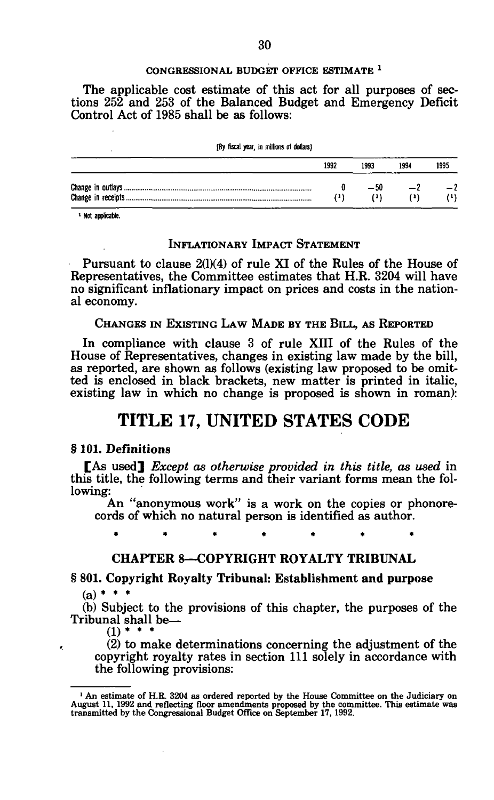#### **CONGRESSIONAL BUDGET OFFICE ESTIMATE** \*

The applicable cost estimate of this act for all purposes of sections 252 and 253 of the Balanced Budget and Emergency Deficit Control Act of 1985 shall be as follows:

**[By fiscal year, in millions of dollars)** 

| 1992 | 1993  | 1994 | 1995 |
|------|-------|------|------|
|      | -- 50 |      | $-2$ |

**1 Not applicable.** 

# INFLATIONARY IMPACT STATEMENT

Pursuant to clause 2(1)(4) of rule XI of the Rules of the House of Representatives, the Committee estimates that H.R. 3204 will have no significant inflationary impact on prices and costs in the national economy.

CHANGES IN EXISTING LAW MADE BY THE BILL, AS REPORTED

In compliance with clause 3 of rule XIII of the Rules of the House of Representatives, changes in existing law made by the bill, as reported, are shown as follows (existing law proposed to be omitted is enclosed in black brackets, new matter is printed in italic, existing law in which no change is proposed is shown in roman):

# **TITLE 17, UNITED STATES CODE**

## § 101. Definitions

[As used] *Except as otherwise provided in this title, as used* in this title, the following terms and their variant forms mean the following:

An "anonymous work" is a work on the copies or phonorecords of which no natural person is identified as author.

**\*\*\*\*\*\* \*** 

# CHAPTER 8—COPYRIGHT ROYALTY TRIBUNAL

# § 801. Copyright Royalty Tribunal: Establishment and purpose

 $(a) *$ 

 $\epsilon$ 

(b) Subject to the provisions of this chapter, the purposes of the Tribunal shall be—

 $(1)$  \* \* \*

(2) to make determinations concerning the adjustment of the copyright royalty rates in section 111 solely in accordance with the following provisions:

<sup>&</sup>lt;sup>1</sup> An estimate of H.R. 3204 as ordered reported by the House Committee on the Judiciary on August 11, 1992 and reflecting floor amendments proposed by the committee. This estimate was transmitted by the Congressional Bud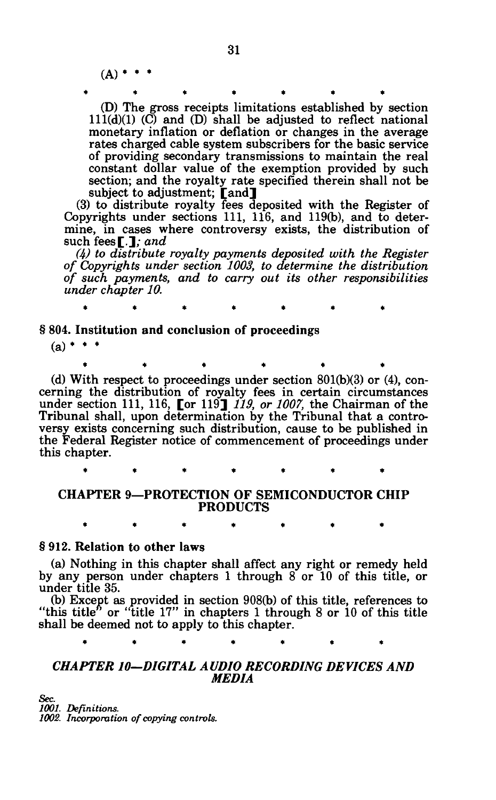$(A)$  \* \*

\*\*\*\* \*\*\* \*\* \*\* \* (D) The gross receipts limitations established by section  $111(d)(1)$  (C) and (D) shall be adjusted to reflect national monetary inflation or deflation or changes in the average rates charged cable system subscribers for the basic service of providing secondary transmissions to maintain the real constant dollar value of the exemption provided by such section; and the royalty rate specified therein shall not be subject to adjustment; [and]

(3) to distribute royalty fees deposited with the Register of Copyrights under sections 111, 116, and 119(b), and to determine, in cases where controversy exists, the distribution of such fees [.J; *and* 

*(4) to distribute royalty payments deposited with the Register of Copyrights under section 1003, to determine the distribution of such payments, and to carry out its other responsibilities under chapter 10.* 

**\*\*\*\*\*\* \*** 

§ 804. Institution and conclusion of proceedings

 $(a) *$ 

 $*$  and  $*$  and  $*$  and  $*$  and  $*$  and  $*$  and  $*$ (d) With respect to proceedings under section  $801(b)(3)$  or  $(4)$ , concerning the distribution of royalty fees in certain circumstances under section 111, 116, [or 119] *119, or 1007,* the Chairman of the Tribunal shall, upon determination by the Tribunal that a controversy exists concerning such distribution, cause to be published in the Federal Register notice of commencement of proceedings under

this chapter.

**\*\*\*\*\*\* \*** 

# CHAPTER 9—PROTECTION OF SEMICONDUCTOR CHIP PRODUCTS

**\*\*\*\*\*\* \*** 

# § 912. Relation to other laws

(a) Nothing in this chapter shall affect any right or remedy held by any person under chapters 1 through 8 or 10 of this title, or under title 35.

(b) Except as provided in section 908(b) of this title, references to "this title" or "title  $17$ " in chapters 1 through 8 or 10 of this title shall be deemed not to apply to this chapter.

**\*\*\*\*\*\* \*** 

# *CHAPTER 10-DIGITAL AUDIO RECORDING DEVICES AND MEDIA*

*Sec. 1001. Definitions. 1002. Incorporation of copying controls.*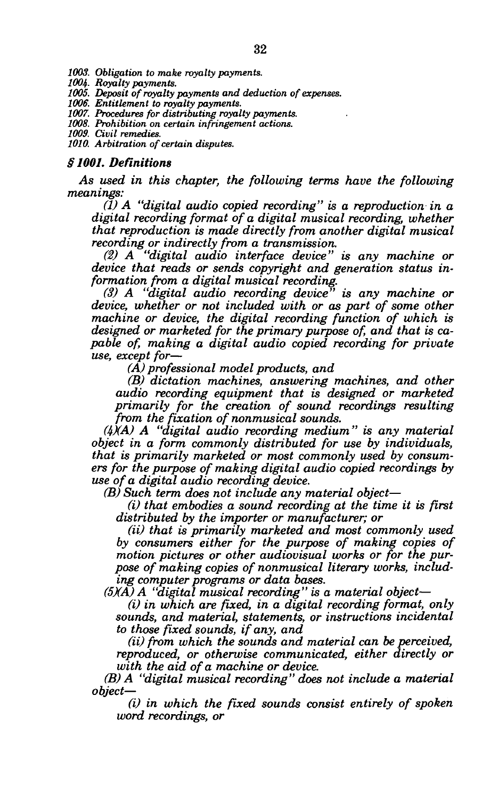*1003. Obligation to make royalty payments.* 

*1004. Royalty payments.* 

*1005. Deposit of royalty payments and deduction of expenses.* 

*1006. Entitlement to royalty payments.* 

*1007. Procedures for distributing royalty payments.* 

*1008. Prohibition on certain infringement actions.* 

*1009. Civil remedies. 1010. Arbitration of certain disputes.* 

#### *§1001. Definitions*

*As used in this chapter, the following terms have the following meanings:* 

*(1) A "digital audio copied recording" is a reproduction in a digital recording format of a digital musical recording, whether that reproduction is made directly from another digital musical recording or indirectly from a transmission.* 

*(2) A "digital audio interface device" is any machine or device that reads or sends copyright and generation status information from a digital musical recording.* 

*(3) A "digital audio recording device" is any machine or device, whether or not included with or as part of some other machine or device, the digital recording function of which is designed or marketed for the primary purpose of, and that is capable of, making a digital audio copied recording for private use, except for*—

*(A) professional model products, and* 

*(B) dictation machines, answering machines, and other audio recording equipment that is designed or marketed primarily for the creation of sound recordings resulting from the fixation of nonmusical sounds.* 

*(ItXA) A "digital audio recording medium" is any material object in a form commonly distributed for use by individuals, that is primarily marketed or most commonly used by consumers for the purpose of making digital audio copied recordings by use of a digital audio recording device.* 

*(B) Such term does not include any material object*—

*(i) that embodies a sound recording at the time it is first distributed by the importer or manufacturer; or* 

*(ii) that is primarily marketed and most commonly used by consumers either for the purpose of making copies of motion pictures or other audiovisual works or for the purpose of making copies of nonmusical literary works, including computer programs or data bases.* 

*(5XA) A "digital musical recording" is a material object*—

*(i) in which are fixed, in a digital recording format, only sounds, and material, statements, or instructions incidental to those fixed sounds, if any, and* 

*(ii) from which the sounds and material can be perceived, reproduced, or otherwise communicated, either directly or with the aid of a machine or device.* 

*(B) A "digital musical recording" does not include a material object*—

*(i) in which the fixed sounds consist entirely of spoken word recordings, or*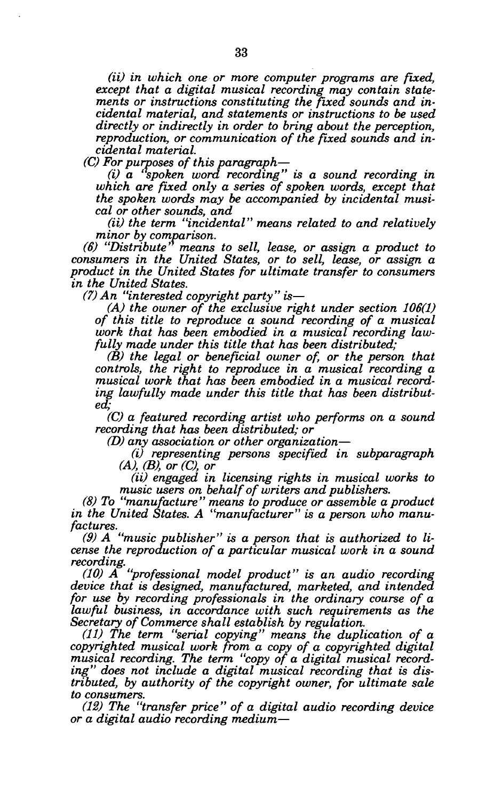*(ii) in which one or more computer programs are fixed, except that a digital musical recording may contain statements or instructions constituting the fixed sounds and incidental material, and statements or instructions to be used directly or indirectly in order to bring about the perception, reproduction, or communication of the fixed sounds and incidental material.* 

*(C) For purposes of this paragraph*—

*(i) a 'spoken word recording" is a sound recording in which are fixed only a series of spoken words, except that the spoken words may be accompanied by incidental musical or other sounds, and* 

*(ii) the term "incidental" means related to and relatively minor by comparison.* 

*(6) "Distribute' means to sell, lease, or assign a product to consumers in the United States, or to sell, lease, or assign a product in the United States for ultimate transfer to consumers in the United States.* 

*(7) An "interested copyright party" is*—

*(A) the owner of the exclusive right under section 106(1) of this title to reproduce a sound recording of a musical work that has been embodied in a musical recording lawfully made under this title that has been distributed;* 

*(B) the legal or beneficial owner of, or the person that controls, the right to reproduce in a musical recording a musical work that has been embodied in a musical recording lawfully made under this title that has been distributed;* 

*(C) a featured recording artist who performs on a sound recording that has been distributed; or* 

*(D) any association or other organization*—

*(i) representing persons specified in subparagraph (A), (B), or (C), or* 

*(ii) engaged in licensing rights in musical works to music users on behalf of writers and publishers.* 

*(8) To "manufacture" means to produce or assemble a product in the United States. A "manufacturer" is a person who manufactures.* 

*(9) A "music publisher" is a person that is authorized to license the reproduction of a particular musical work in a sound recording.* 

*(10) A "professional model product" is an audio recording device that is designed, manufactured, marketed, and intended for use by recording professionals in the ordinary course of a lawful business, in accordance with such requirements as the Secretary of Commerce shall establish by regulation.* 

*(11) The term "serial copying" means the duplication of a copyrighted musical work from a copy of a copyrighted digital musical recording. The term "copy of a digital musical recording" does not include a digital musical recording that is distributed, by authority of the copyright owner, for ultimate sale to consumers.* 

*(12) The "transfer price" of a digital audio recording device or a digital audio recording medium*—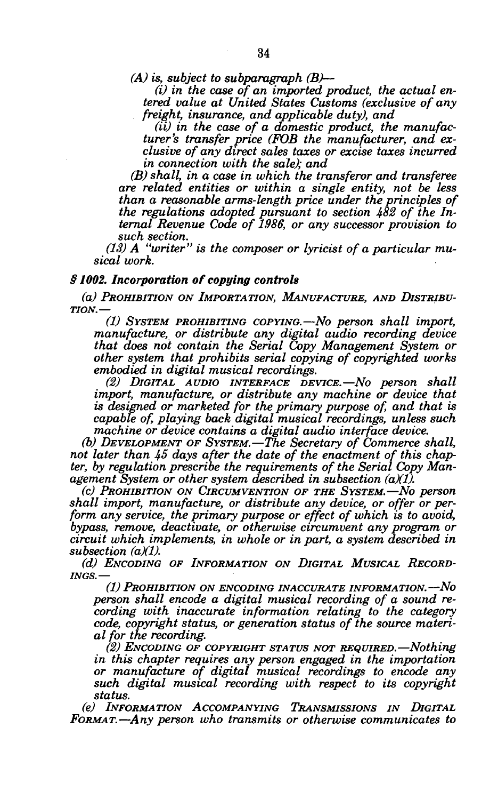*(A) is, subject to subparagraph (B)*—

*(i) in the case of an imported product, the actual entered value at United States Customs (exclusive of any freight, insurance, and applicable duty), and* 

*(ii) in the case of a domestic product, the manufacturer's transfer price (FOB the manufacturer, and exclusive of any direct sales taxes or excise taxes incurred in connection with the sale); and* 

*(B) shall, in a case in which the transferor and transferee are related entities or within a single entity, not be less than a reasonable arms-length price under the principles of the regulations adopted pursuant to section 482 of the Internal Revenue Code of 1986, or any successor provision to such section.* 

*(13) A "writer" is the composer or lyricist of a particular musical work.* 

#### *§ 1002. Incorporation of copying controls*

*(a) PROHIBITION ON IMPORTATION, MANUFACTURE, AND DISTRIBU-TION.*—

*(1) SYSTEM PROHIBITING COPYING.*—*No person shall import, manufacture, or distribute any digital audio recording device that does not contain the Serial Copy Management System or other system that prohibits serial copying of copyrighted works embodied in digital musical recordings.* 

*(2) DIGITAL AUDIO INTERFACE DEVICE.*—*No person shall import, manufacture, or distribute any machine or device that is designed or marketed for the primary purpose of, and that is capable of, playing back digital musical recordings, unless such machine or device contains a digital audio interface device.* 

*(b) DEVELOPMENT OF SYSTEM.*—*The Secretary of Commerce shall, not later than 45 days after the date of the enactment of this chapter, by regulation prescribe the requirements of the Serial Copy Management System or other system described in subsection (aXD-*

*(c) PROHIBITION ON CIRCUMVENTION OF THE SYSTEM.*—*No person*  shall import, manufacture, or distribute any device, or offer or per*form any service, the primary purpose or effect of which is to avoid, bypass, remove, deactivate, or otherwise circumvent any program or circuit which implements, in whole or in part, a system described in subsection (a)(1).* 

*(d) ENCODING OF INFORMATION ON DIGITAL MUSICAL RECORD-INGS.*—

*(1) PROHIBITION ON ENCODING INACCURATE INFORMATION.*—*No person shall encode a digital musical recording of a sound recording with inaccurate information relating to the category code, copyright status, or generation status of the source material for the recording.* 

*(2) ENCODING OF COPYRIGHT STATUS NOT REQUIRED.*—*Nothing in this chapter requires any person engaged in the importation or manufacture of digital musical recordings to encode any such digital musical recording with respect to its copyright status.* 

*(e) INFORMATION ACCOMPANYING TRANSMISSIONS IN DIGITAL FORMAT.*—*Any person who transmits or otherwise communicates to*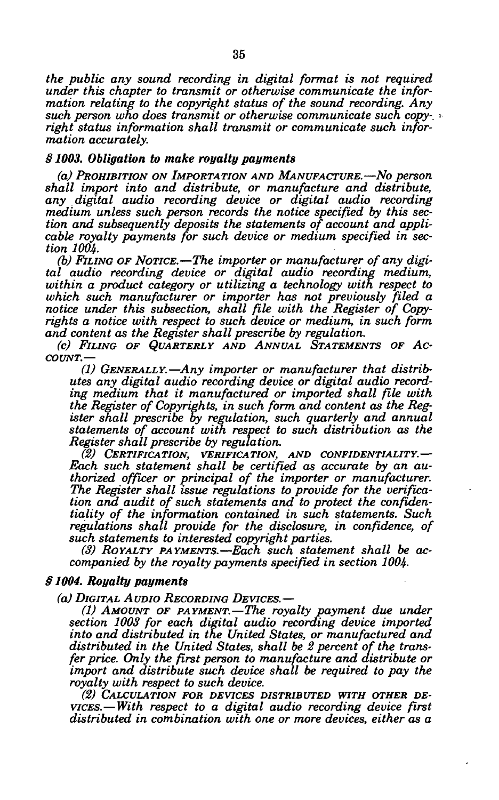*the public any sound recording in digital format is not required under this chapter to transmit or otherwise communicate the information relating to the copyright status of the sound recording. Any such person who does transmit or otherwise communicate such copy-, right status information shall transmit or communicate such information accurately.* 

## *§ 1003. Obligation to make royalty payments*

*(a) PROHIBITION ON IMPORTATION AND MANUFACTURE.*—*No person shall import into and distribute, or manufacture and distribute, any digital audio recording device or digital audio recording medium unless such person records the notice specified by this section and subsequently deposits the statements of account and applicable royalty payments for such device or medium specified in section 1004.* 

*(b) FILING OF NOTICE.*—*The importer or manufacturer of any digital audio recording device or digital audio recording medium, within a product category or utilizing a technology with respect to which such manufacturer or importer has not previously filed a notice under this subsection, shall file with the Register of Copyrights a notice with respect to such device or medium, in such form and content as the Register shall prescribe by regulation.* 

*(c) FILING OF QUARTERLY AND ANNUAL STATEMENTS OF AC-COUNT.*—

*(1) GENERALLY.*—*Any importer or manufacturer that distributes any digital audio recording device or digital audio recording medium that it manufactured or imported shall file with the Register of Copyrights, in such form and content as the Register shall prescribe by regulation, such quarterly and annual statements of account with respect to such distribution as the Register shall prescribe by regulation.* 

*(2) CERTIFICATION, VERIFICATION, AND CONFIDENTIALITY.*— *Each such statement shall be certified as accurate by an authorized officer or principal of the importer or manufacturer. The Register shall issue regulations to provide for the verification ana audit of such statements and to protect the confidentiality of the information contained in such statements. Such regulations shall provide for the disclosure, in confidence, of such statements to interested copyright parties.* 

*(3) ROYALTY PAYMENTS.*—*Each such statement shall be accompanied by the royalty payments specified in section 1004.* 

# *§ 1004. Royalty payments*

*(a) DIGITAL AUDIO RECORDING DEVICES.*—

*(1) AMOUNT OF PAYMENT.*—*The royalty payment due under section 1003 for each digital audio recording device imported into and distributed in the United States, or manufactured and distributed in the United States, shall be 2 percent of the transfer price. Only the first person to manufacture and distribute or import and distribute such device shall be required to pay the royalty with respect to such device.* 

*(2) CALCULATION FOR DEVICES DISTRIBUTED WITH OTHER DE-VICES.*—*With respect to a digital audio recording device first distributed in combination with one or more devices, either as a*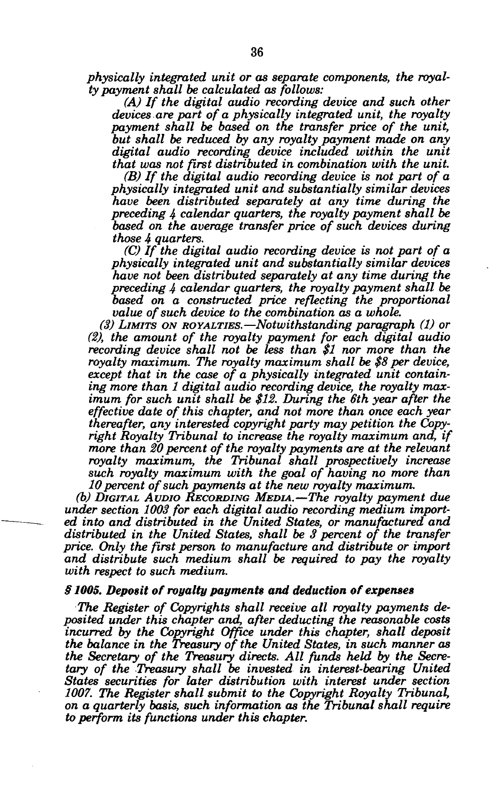*physically integrated unit or as separate components, the royalty payment shall be calculated as follows:* 

*(A) If the digital audio recording device and such other devices are part of a physically integrated unit, the royalty payment shall be based on the transfer price of the unit, but shall be reduced by any royalty payment made on any digital audio recording device included within the unit that was not first distributed in combination with the unit.* 

*(B) If the digital audio recording device is not part of a physically integrated unit and substantially similar devices have been distributed separately at any time during the preceding 4 calendar quarters, the royalty payment shall be based on the average transfer price of such devices during those 4 quarters.* 

*(C) If the digital audio recording device is not part of a physically integrated unit and substantially similar devices have not been distributed separately at any time during the preceding 4 calendar quarters, the royalty payment shall be based on a constructed price reflecting the proportional value of such device to the combination as a whole.* 

*(3) LIMITS ON ROYALTIES.*—*Notwithstanding paragraph (1) or (2), the amount of the royalty payment for each digital audio recording device shall not be less than \$1 nor more than the royalty maximum. The royalty maximum shall be \$8 per device, except that in the case of a physically integrated unit containing more than 1 digital audio recording device, the royalty max*imum for such unit shall be \$12. During the 6th year after the *effective date of this chapter, and not more than once each year thereafter, any interested copyright party may petition the Copyright Royalty Tribunal to increase the royalty maximum and, if more than 20 percent of the royalty payments are at the relevant royalty maximum, the Tribunal shall prospectively increase such royalty maximum with the goal of having no more than 10 percent of such payments at the new royalty maximum,* 

*(b) DIGITAL AUDIO RECORDING MEDIA.*—*The royalty payment due under section 1003 for each digital audio recording medium imported into and distributed in the United States, or manufactured and distributed in the United States, shall be 3 percent of the transfer price. Only the first person to manufacture and distribute or import and distribute such medium shall be required to pay the royalty with respect to such medium.* 

## *§ 1005. Deposit of royalty payments and deduction of expenses*

*The Register of Copyrights shall receive all royalty payments deposited under this chapter and, after deducting the reasonable costs incurred by the Copyright Office under this chapter, shall deposit the balance in the Treasury of the United States, in such manner as the Secretary of the Treasury directs. All funds held by the Secretary of the Treasury shall be invested in interest-bearing United States securities for later distribution with interest under section 1007. The Register shall submit to the Copyright Royalty Tribunal, on a quarterly basis, such information as the Tribunal shall require to perform its functions under this chapter.*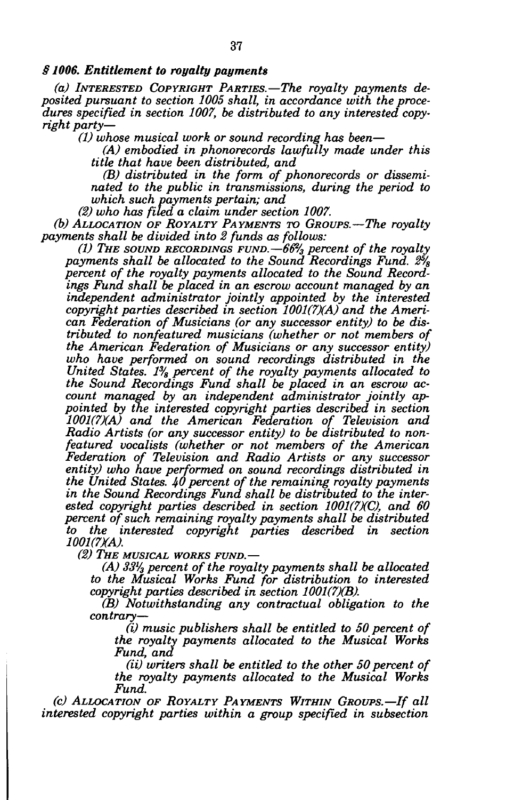# *§ 1006. Entitlement to royalty payments*

*(a) INTERESTED COPYRIGHT PARTIES.—The royalty payments deposited pursuant to section 1005 shall, in accordance with the procedures specified in section 1007, be distributed to any interested copyright party*—

*(1) whose musical work or sound recording has been*—

*(A) embodied in phonorecords lawfully made under this title that have been distributed, and* 

*(B) distributed in the form of phonorecords or disseminated to the public in transmissions, during the period to which such payments pertain; and* 

*(2) who has filed a claim under section 1007.* 

*(b) ALLOCATION OF ROYALTY PAYMENTS TO GROUPS.*—*The royalty payments shall be divided into 2 funds as follows:* 

*(1) THE SOUND RECORDINGS FUND.*—*66% percent of the royalty payments shall be allocated to the Sound Recordings Fund. 2% percent of the royalty payments allocated to the Sound Recordings Fund shall be placed in an escrow account managed by an independent administrator jointly appointed by the interested copyright parties described in section 1001(7)(A) and the American Federation of Musicians (or any successor entity) to be distributed to nonfeatured musicians (whether or not members of the American Federation of Musicians or any successor entity) who have performed on sound recordings distributed in the United States. 1% percent of the royalty payments allocated to the Sound Recordings Fund shall be placed in an escrow account managed by an independent administrator jointly appointed by the interested copyright parties described in section 1001(7XA) and the American Federation of Television and Radio Artists (or any successor entity) to be distributed to nonfeatured vocalists (whether or not members of the American Federation of Television and Radio Artists or any successor entity) who have performed on sound recordings distributed in the United States. 40 percent of the remaining royalty payments in the Sound Recordings Fund shall be distributed to the inter*ested copyright parties described in section 1001(7)(C), and 60 *percent of such remaining royalty payments shall be distributed to the interested copyright parties described in section*  1001(7)(A).

*(2) THE MUSICAL WORKS FUND.*—

*(A) 33<sup>l</sup> /3 percent of the royalty payments shall be allocated to the Musical Works Fund for distribution to interested copyright parties described in section 1001(7)(B).* 

*(B) Notwithstanding any contractual obligation to the contrary*—

*(i) music publishers shall be entitled to 50 percent of the royalty payments allocated to the Musical Works Fund, and* 

*(ii) writers shall be entitled to the other 50 percent of the royalty payments allocated to the Musical Works Fund.* 

*(c) ALLOCATION OF ROYALTY PAYMENTS WITHIN GROUPS.—If all interested copyright parties within a group specified in subsection*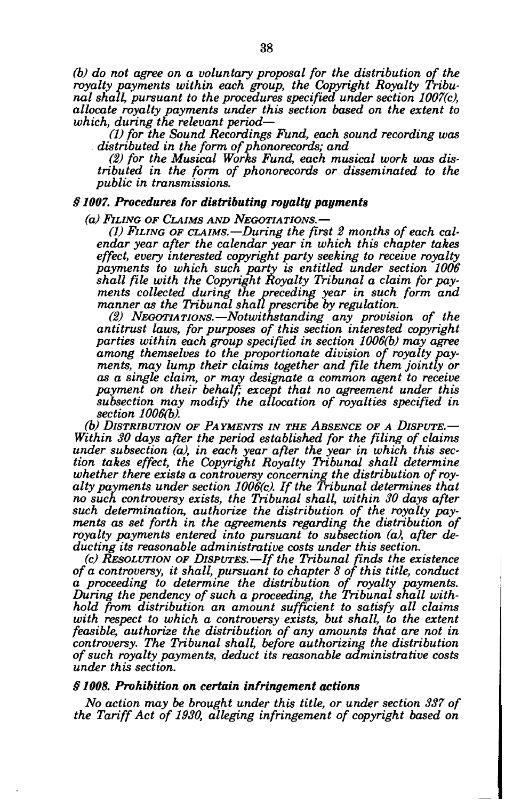*(b) do not agree on a voluntary proposal for the distribution of the royalty payments within each group, the Copyright Royalty Tribunal shall, pursuant to the procedures specified under section 1007(c), allocate royalty payments under this section based on the extent to which, during the relevant period*—

*(1) for the Sound Recordings Fund, each sound recording was distributed in the form of phonorecords; and* 

*(2) for the Musical Works Fund, each musical work was distributed in the form of phonorecords or disseminated to the public in transmissions.* 

# *§ 1007. Procedures for distributing royalty payments*

*(a) FILING OF CLAIMS AND NEGOTIATIONS.*—

*(1) FILING OF CLAIMS.*—*During the first 2 months of each calendar year after the calendar year in which this chapter takes effect, every interested copyright party seeking to receive royalty payments to which such party is entitled under section 1006 shall file with the Copyright Royalty Tribunal a claim for payments collected during the preceding year in such form and manner as the Tribunal shall prescribe by regulation.* 

*(2) NEGOTIATIONS.*—*Notwithstanding any provision of the antitrust laws, for purposes of this section interested copyright parties within each group specified in section 1006(b) may agree among themselves to the proportionate division of royalty payments, may lump their claims together and file them jointly or as a single claim, or may designate a common agent to receive*  payment on their behalf; except that no agreement under this *subsection may modify the allocation of royalties specified in section 1006(b).* 

*(b) DISTRIBUTION OF PAYMENTS IN THE ABSENCE OF A DISPUTE.*— *Within 30 days after the period established for the filing of claims under subsection (a), in each year after the year in which this section takes effect, the Copyright Royalty Tribunal shall determine whether there exists a controversy concerning the distribution of royalty payments under section 1006(c). If the Tribunal determines that no such controversy exists, the Tribunal shall, within 30 days after such determination, authorize the distribution of the royalty payments as set forth in the agreements regarding the distribution of royalty payments entered into pursuant to subsection (a), after deducting its reasonable administrative costs under this section.* 

*(c) RESOLUTION OF DISPUTES.*—*If the Tribunal finds the existence of a controversy, it shall, pursuant to chapter 8 of this title, conduct a proceeding to determine the distribution of royalty payments. During the pendency of such a proceeding, the Tribunal shall withhold from distribution an amount sufficient to satisfy all claims with respect to which a controversy exists, but shall, to the extent feasible, authorize the distribution of any amounts that are not in controversy. The Tribunal shall, before authorizing the distribution of such royalty payments, deduct its reasonable administrative costs under this section.* 

#### *§ 1008. Prohibition on certain infringement actions*

*No action may be brought under this title, or under section 337 of the Tariff Act of 1930, alleging infringement of copyright based on*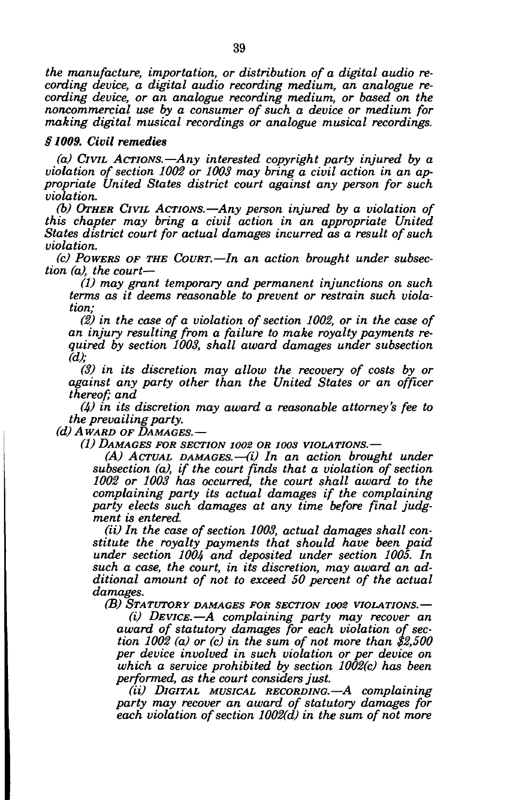*the manufacture, importation, or distribution of a digital audio recording device, a digital audio recording medium, an analogue recording device, or an analogue recording medium, or based on the noncommercial use by a consumer of such a device or medium for making digital musical recordings or analogue musical recordings.* 

# *§1009. Civil remedies*

*(a) CIVIL ACTIONS.*—*Any interested copyright party injured by a violation of section 1002 or 1003 may bring a civil action in an appropriate United States district court against any person for such violation.* 

*(b) OTHER CIVIL ACTIONS.*—*Any person injured by a violation of this chapter may bring a civil action in an appropriate United States district court for actual damages incurred as a result of such violation.* 

*(c) POWERS OF THE COURT.*—*In an action brought under subsection (a), the court*—

*(1) may grant temporary and permanent injunctions on such terms as it deems reasonable to prevent or restrain such violation;* 

*(2) in the case of a violation of section 1002, or in the case of an injury resulting from a failure to make royalty payments required by section 1003, shall award damages under subsection (d);* 

*(3) in its discretion may allow the recovery of costs by or against any party other than the United States or an officer thereof; and* 

*(4) in its discretion may award a reasonable attorney's fee to the prevailing party.* 

*(d) AWARD OF DAMAGES.*—

*(1) DAMAGES FOR SECTION 1002 OR 100s VIOLATIONS.*—

*(A) ACTUAL DAMAGES.*—*(i) In an action brought under subsection (a), if the court finds that a violation of section 1002 or 1003 has occurred, the court shall award to the complaining party its actual damages if the complaining party elects such damages at any time before final judgment is entered.* 

*(ii) In the case of section 1003, actual damages shall constitute the royalty payments that should have been paid under section 1004 and deposited under section 1005. In such a case, the court, in its discretion, may award an additional amount of not to exceed 50 percent of the actual damages.* 

*(B) STATUTORY DAMAGES FOR SECTION 1002 VIOLATIONS.*—

*(i) DEVICE.*—*A complaining party may recover an award of statutory damages for each violation of section 1002 (a) or (c) in the sum of not more than \$2,500 per device involved in such violation or per device on which a service prohibited by section 1002(c) has been performed, as the court considers just.* 

*(ii) DIGITAL MUSICAL RECORDING.*—*A complaining party may recover an award of statutory damages for each violation of section 1002(d) in the sum of not more*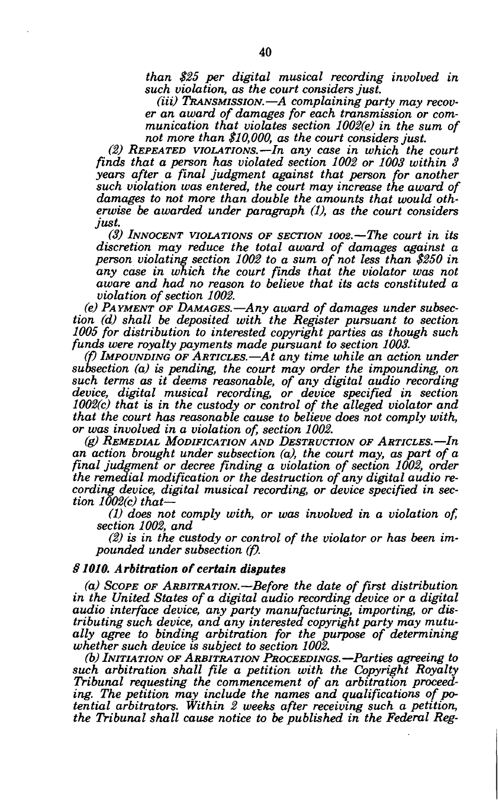*than \$25 per digital musical recording involved in such violation, as the court considers just.* 

*(Hi) TRANSMISSION.*—*A complaining party may recover an award of damages for each transmission or communication that violates section 1002(e) in the sum of not more than \$10,000, as the court considers just.* 

*(2) REPEATED VIOLATIONS.*—*In any case in which the court finds that a person has violated section 1002 or 1003 within 3 years after a final judgment against that person for another such violation was entered, the court may increase the award of damages to not more than double the amounts that would otherwise be awarded under paragraph (1), as the court considers just.* 

*(3) INNOCENT VIOLATIONS OF SECTION 1002.*—*The court in its discretion may reduce the total award of damages against a person violating section 1002 to a sum of not less than \$250 in any case in which the court finds that the violator was not aware and had no reason to believe that its acts constituted a violation of section 1002.* 

*(e) PAYMENT OF DAMAGES.*—*Any award of damages under subsection (d) shall be deposited with the Register pursuant to section 1005 for distribution to interested copyright parties as though such funds were royalty payments made pursuant to section 1003.* 

*(f) IMPOUNDING OF ARTICLES.*—*At any time while an action under subsection (a) is pending, the court may order the impounding, on such terms as it deems reasonable, of any digital audio recording device, digital musical recording, or device specified in section 1002(c) that is in the custody or control of the alleged violator and that the court has reasonable cause to believe does not comply with, or was involved in a violation of, section 1002.* 

*(g) REMEDIAL MODIFICATION AND DESTRUCTION OF ARTICLES.*—*In an action brought under subsection (a), the court may, as part of a final judgment or decree finding a violation of section 1002, order the remedial modification or the destruction of any digital audio recording device, digital musical recording, or device specified in section 1002(c) that—* 

*(1) does not comply with, or was involved in a violation of, section 1002, and* 

*(2) is in the custody or control of the violator or has been impounded under subsection (f).* 

## *§1010. Arbitration of certain disputes*

*(a) SCOPE OF ARBITRATION.*—*Before the date of first distribution in the United States of a digital audio recording device or a digital audio interface device, any party manufacturing, importing, or distributing such device, and any interested copyright party may mutually agree to binding arbitration for the purpose of determining whether such device is subject to section 1002.* 

*(b) INITIATION OF ARBITRATION PROCEEDINGS.*—*Parties agreeing to such arbitration shall file a petition with the Copyright Royalty Tribunal requesting the commencement of an arbitration proceeding. The petition may include the names and qualifications of potential arbitrators. Within 2 weeks after receiving such a petition, the Tribunal shall cause notice to be published in the Federal Reg-*